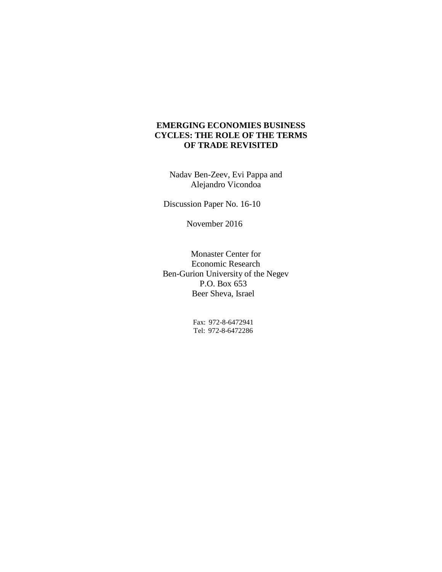# **EMERGING ECONOMIES BUSINESS CYCLES: THE ROLE OF THE TERMS OF TRADE REVISITED**

Nadav Ben-Zeev, Evi Pappa and Alejandro Vicondoa

Discussion Paper No. 16-10

November 2016

Monaster Center for Economic Research Ben-Gurion University of the Negev P.O. Box 653 Beer Sheva, Israel

> Fax: 972-8-6472941 Tel: 972-8-6472286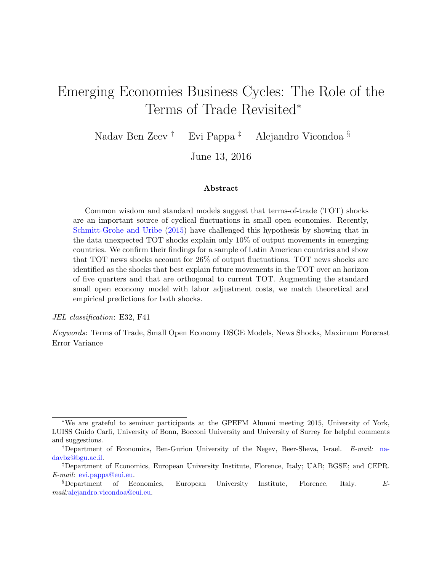# Emerging Economies Business Cycles: The Role of the Terms of Trade Revisited<sup>∗</sup>

Nadav Ben Zeev † Evi Pappa ‡ Alejandro Vicondoa §

June 13, 2016

#### Abstract

Common wisdom and standard models suggest that terms-of-trade (TOT) shocks are an important source of cyclical fluctuations in small open economies. Recently, [Schmitt-Grohe and Uribe](#page-42-0) [\(2015\)](#page-42-0) have challenged this hypothesis by showing that in the data unexpected TOT shocks explain only 10% of output movements in emerging countries. We confirm their findings for a sample of Latin American countries and show that TOT news shocks account for 26% of output fluctuations. TOT news shocks are identified as the shocks that best explain future movements in the TOT over an horizon of five quarters and that are orthogonal to current TOT. Augmenting the standard small open economy model with labor adjustment costs, we match theoretical and empirical predictions for both shocks.

JEL classification: E32, F41

Keywords: Terms of Trade, Small Open Economy DSGE Models, News Shocks, Maximum Forecast Error Variance

<sup>∗</sup>We are grateful to seminar participants at the GPEFM Alumni meeting 2015, University of York, LUISS Guido Carli, University of Bonn, Bocconi University and University of Surrey for helpful comments and suggestions.

<sup>†</sup>Department of Economics, Ben-Gurion University of the Negev, Beer-Sheva, Israel. E-mail: [na](mailto:nadavbz@bgu.ac.il)[davbz@bgu.ac.il.](mailto:nadavbz@bgu.ac.il)

<sup>‡</sup>Department of Economics, European University Institute, Florence, Italy; UAB; BGSE; and CEPR. E-mail: [evi.pappa@eui.eu.](mailto:evi.pappa@eui.eu)

<sup>§</sup>Department of Economics, European University Institute, Florence, Italy. Email:[alejandro.vicondoa@eui.eu.](mailto:alejandro.vicondoa@eui.eu)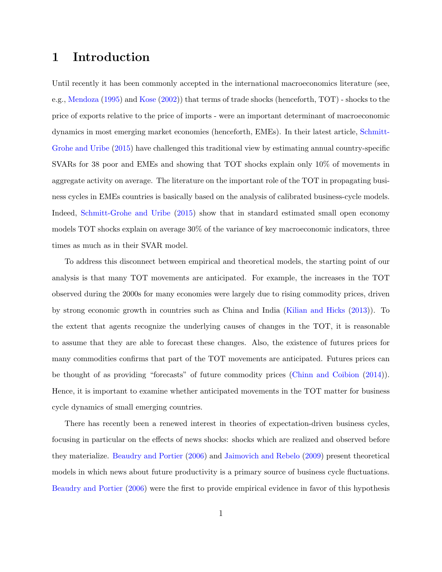# 1 Introduction

Until recently it has been commonly accepted in the international macroeconomics literature (see, e.g., [Mendoza](#page-42-1) [\(1995\)](#page-42-1) and [Kose](#page-41-0) [\(2002\)](#page-41-0)) that terms of trade shocks (henceforth, TOT) - shocks to the price of exports relative to the price of imports - were an important determinant of macroeconomic dynamics in most emerging market economies (henceforth, EMEs). In their latest article, [Schmitt-](#page-42-0)[Grohe and Uribe](#page-42-0) [\(2015\)](#page-42-0) have challenged this traditional view by estimating annual country-specific SVARs for 38 poor and EMEs and showing that TOT shocks explain only 10% of movements in aggregate activity on average. The literature on the important role of the TOT in propagating business cycles in EMEs countries is basically based on the analysis of calibrated business-cycle models. Indeed, [Schmitt-Grohe and Uribe](#page-42-0) [\(2015\)](#page-42-0) show that in standard estimated small open economy models TOT shocks explain on average 30% of the variance of key macroeconomic indicators, three times as much as in their SVAR model.

To address this disconnect between empirical and theoretical models, the starting point of our analysis is that many TOT movements are anticipated. For example, the increases in the TOT observed during the 2000s for many economies were largely due to rising commodity prices, driven by strong economic growth in countries such as China and India [\(Kilian and Hicks](#page-41-1) [\(2013\)](#page-41-1)). To the extent that agents recognize the underlying causes of changes in the TOT, it is reasonable to assume that they are able to forecast these changes. Also, the existence of futures prices for many commodities confirms that part of the TOT movements are anticipated. Futures prices can be thought of as providing "forecasts" of future commodity prices [\(Chinn and Coibion](#page-40-0) [\(2014\)](#page-40-0)). Hence, it is important to examine whether anticipated movements in the TOT matter for business cycle dynamics of small emerging countries.

There has recently been a renewed interest in theories of expectation-driven business cycles, focusing in particular on the effects of news shocks: shocks which are realized and observed before they materialize. [Beaudry and Portier](#page-40-1) [\(2006\)](#page-40-1) and [Jaimovich and Rebelo](#page-41-2) [\(2009\)](#page-41-2) present theoretical models in which news about future productivity is a primary source of business cycle fluctuations. [Beaudry and Portier](#page-40-1) [\(2006\)](#page-40-1) were the first to provide empirical evidence in favor of this hypothesis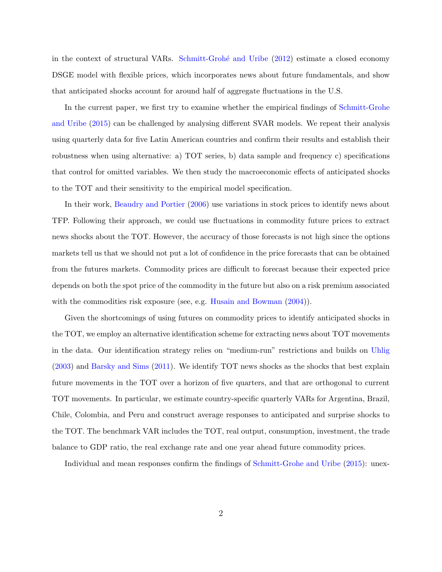in the context of structural VARs. Schmitt-Grohé and Uribe [\(2012\)](#page-42-2) estimate a closed economy DSGE model with flexible prices, which incorporates news about future fundamentals, and show that anticipated shocks account for around half of aggregate fluctuations in the U.S.

In the current paper, we first try to examine whether the empirical findings of [Schmitt-Grohe](#page-42-0) [and Uribe](#page-42-0) [\(2015\)](#page-42-0) can be challenged by analysing different SVAR models. We repeat their analysis using quarterly data for five Latin American countries and confirm their results and establish their robustness when using alternative: a) TOT series, b) data sample and frequency c) specifications that control for omitted variables. We then study the macroeconomic effects of anticipated shocks to the TOT and their sensitivity to the empirical model specification.

In their work, [Beaudry and Portier](#page-40-1) [\(2006\)](#page-40-1) use variations in stock prices to identify news about TFP. Following their approach, we could use fluctuations in commodity future prices to extract news shocks about the TOT. However, the accuracy of those forecasts is not high since the options markets tell us that we should not put a lot of confidence in the price forecasts that can be obtained from the futures markets. Commodity prices are difficult to forecast because their expected price depends on both the spot price of the commodity in the future but also on a risk premium associated with the commodities risk exposure (see, e.g. [Husain and Bowman](#page-41-3)  $(2004)$ ).

Given the shortcomings of using futures on commodity prices to identify anticipated shocks in the TOT, we employ an alternative identification scheme for extracting news about TOT movements in the data. Our identification strategy relies on "medium-run" restrictions and builds on [Uhlig](#page-42-3) [\(2003\)](#page-42-3) and [Barsky and Sims](#page-40-2) [\(2011\)](#page-40-2). We identify TOT news shocks as the shocks that best explain future movements in the TOT over a horizon of five quarters, and that are orthogonal to current TOT movements. In particular, we estimate country-specific quarterly VARs for Argentina, Brazil, Chile, Colombia, and Peru and construct average responses to anticipated and surprise shocks to the TOT. The benchmark VAR includes the TOT, real output, consumption, investment, the trade balance to GDP ratio, the real exchange rate and one year ahead future commodity prices.

Individual and mean responses confirm the findings of [Schmitt-Grohe and Uribe](#page-42-0) [\(2015\)](#page-42-0): unex-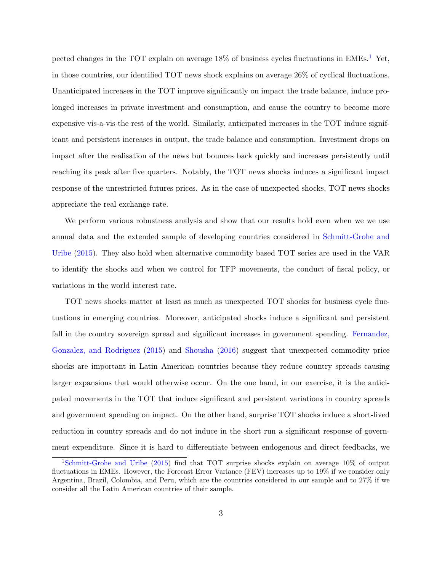pected changes in the TOT explain on average  $18\%$  $18\%$  of business cycles fluctuations in EMEs.<sup>1</sup> Yet, in those countries, our identified TOT news shock explains on average 26% of cyclical fluctuations. Unanticipated increases in the TOT improve significantly on impact the trade balance, induce prolonged increases in private investment and consumption, and cause the country to become more expensive vis-a-vis the rest of the world. Similarly, anticipated increases in the TOT induce significant and persistent increases in output, the trade balance and consumption. Investment drops on impact after the realisation of the news but bounces back quickly and increases persistently until reaching its peak after five quarters. Notably, the TOT news shocks induces a significant impact response of the unrestricted futures prices. As in the case of unexpected shocks, TOT news shocks appreciate the real exchange rate.

We perform various robustness analysis and show that our results hold even when we we use annual data and the extended sample of developing countries considered in [Schmitt-Grohe and](#page-42-0) [Uribe](#page-42-0) [\(2015\)](#page-42-0). They also hold when alternative commodity based TOT series are used in the VAR to identify the shocks and when we control for TFP movements, the conduct of fiscal policy, or variations in the world interest rate.

TOT news shocks matter at least as much as unexpected TOT shocks for business cycle fluctuations in emerging countries. Moreover, anticipated shocks induce a significant and persistent fall in the country sovereign spread and significant increases in government spending. [Fernandez,](#page-41-4) [Gonzalez, and Rodriguez](#page-41-4) [\(2015\)](#page-41-4) and [Shousha](#page-42-4) [\(2016\)](#page-42-4) suggest that unexpected commodity price shocks are important in Latin American countries because they reduce country spreads causing larger expansions that would otherwise occur. On the one hand, in our exercise, it is the anticipated movements in the TOT that induce significant and persistent variations in country spreads and government spending on impact. On the other hand, surprise TOT shocks induce a short-lived reduction in country spreads and do not induce in the short run a significant response of government expenditure. Since it is hard to differentiate between endogenous and direct feedbacks, we

<span id="page-4-0"></span><sup>1</sup>[Schmitt-Grohe and Uribe](#page-42-0) [\(2015\)](#page-42-0) find that TOT surprise shocks explain on average 10% of output fluctuations in EMEs. However, the Forecast Error Variance (FEV) increases up to 19% if we consider only Argentina, Brazil, Colombia, and Peru, which are the countries considered in our sample and to 27% if we consider all the Latin American countries of their sample.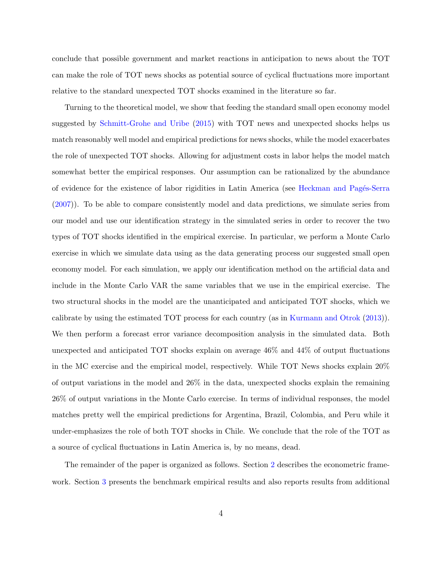conclude that possible government and market reactions in anticipation to news about the TOT can make the role of TOT news shocks as potential source of cyclical fluctuations more important relative to the standard unexpected TOT shocks examined in the literature so far.

Turning to the theoretical model, we show that feeding the standard small open economy model suggested by [Schmitt-Grohe and Uribe](#page-42-0) [\(2015\)](#page-42-0) with TOT news and unexpected shocks helps us match reasonably well model and empirical predictions for news shocks, while the model exacerbates the role of unexpected TOT shocks. Allowing for adjustment costs in labor helps the model match somewhat better the empirical responses. Our assumption can be rationalized by the abundance of evidence for the existence of labor rigidities in Latin America (see Heckman and Pagés-Serra [\(2007\)](#page-41-5)). To be able to compare consistently model and data predictions, we simulate series from our model and use our identification strategy in the simulated series in order to recover the two types of TOT shocks identified in the empirical exercise. In particular, we perform a Monte Carlo exercise in which we simulate data using as the data generating process our suggested small open economy model. For each simulation, we apply our identification method on the artificial data and include in the Monte Carlo VAR the same variables that we use in the empirical exercise. The two structural shocks in the model are the unanticipated and anticipated TOT shocks, which we calibrate by using the estimated TOT process for each country (as in [Kurmann and Otrok](#page-41-6) [\(2013\)](#page-41-6)). We then perform a forecast error variance decomposition analysis in the simulated data. Both unexpected and anticipated TOT shocks explain on average 46% and 44% of output fluctuations in the MC exercise and the empirical model, respectively. While TOT News shocks explain 20% of output variations in the model and  $26\%$  in the data, unexpected shocks explain the remaining 26% of output variations in the Monte Carlo exercise. In terms of individual responses, the model matches pretty well the empirical predictions for Argentina, Brazil, Colombia, and Peru while it under-emphasizes the role of both TOT shocks in Chile. We conclude that the role of the TOT as a source of cyclical fluctuations in Latin America is, by no means, dead.

The remainder of the paper is organized as follows. Section [2](#page-6-0) describes the econometric framework. Section [3](#page-10-0) presents the benchmark empirical results and also reports results from additional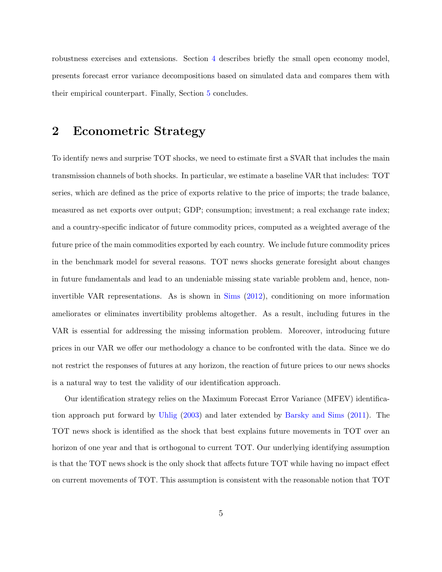robustness exercises and extensions. Section [4](#page-20-0) describes briefly the small open economy model, presents forecast error variance decompositions based on simulated data and compares them with their empirical counterpart. Finally, Section [5](#page-28-0) concludes.

# <span id="page-6-0"></span>2 Econometric Strategy

To identify news and surprise TOT shocks, we need to estimate first a SVAR that includes the main transmission channels of both shocks. In particular, we estimate a baseline VAR that includes: TOT series, which are defined as the price of exports relative to the price of imports; the trade balance, measured as net exports over output; GDP; consumption; investment; a real exchange rate index; and a country-specific indicator of future commodity prices, computed as a weighted average of the future price of the main commodities exported by each country. We include future commodity prices in the benchmark model for several reasons. TOT news shocks generate foresight about changes in future fundamentals and lead to an undeniable missing state variable problem and, hence, noninvertible VAR representations. As is shown in [Sims](#page-42-5) [\(2012\)](#page-42-5), conditioning on more information ameliorates or eliminates invertibility problems altogether. As a result, including futures in the VAR is essential for addressing the missing information problem. Moreover, introducing future prices in our VAR we offer our methodology a chance to be confronted with the data. Since we do not restrict the responses of futures at any horizon, the reaction of future prices to our news shocks is a natural way to test the validity of our identification approach.

Our identification strategy relies on the Maximum Forecast Error Variance (MFEV) identification approach put forward by [Uhlig](#page-42-3) [\(2003\)](#page-42-3) and later extended by [Barsky and Sims](#page-40-2) [\(2011\)](#page-40-2). The TOT news shock is identified as the shock that best explains future movements in TOT over an horizon of one year and that is orthogonal to current TOT. Our underlying identifying assumption is that the TOT news shock is the only shock that affects future TOT while having no impact effect on current movements of TOT. This assumption is consistent with the reasonable notion that TOT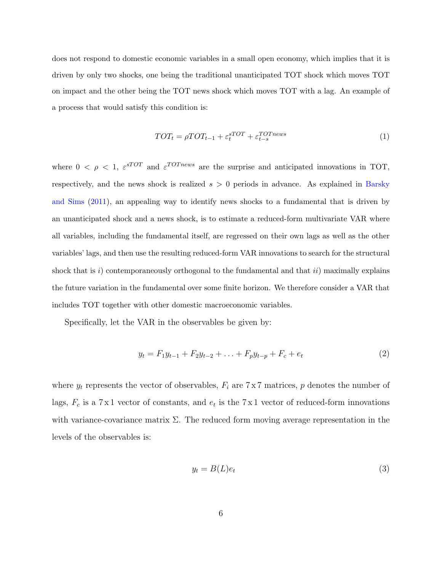does not respond to domestic economic variables in a small open economy, which implies that it is driven by only two shocks, one being the traditional unanticipated TOT shock which moves TOT on impact and the other being the TOT news shock which moves TOT with a lag. An example of a process that would satisfy this condition is:

$$
TOT_t = \rho TOT_{t-1} + \varepsilon_t^{sTOT} + \varepsilon_{t-s}^{TOTnews}
$$
\n
$$
\tag{1}
$$

where  $0 < \rho < 1$ ,  $\varepsilon^{sTOT}$  and  $\varepsilon^{TOTnews}$  are the surprise and anticipated innovations in TOT, respectively, and the news shock is realized  $s > 0$  periods in advance. As explained in [Barsky](#page-40-2) [and Sims](#page-40-2) [\(2011\)](#page-40-2), an appealing way to identify news shocks to a fundamental that is driven by an unanticipated shock and a news shock, is to estimate a reduced-form multivariate VAR where all variables, including the fundamental itself, are regressed on their own lags as well as the other variables' lags, and then use the resulting reduced-form VAR innovations to search for the structural shock that is i) contemporaneously orthogonal to the fundamental and that  $ii)$  maximally explains the future variation in the fundamental over some finite horizon. We therefore consider a VAR that includes TOT together with other domestic macroeconomic variables.

Specifically, let the VAR in the observables be given by:

$$
y_t = F_1 y_{t-1} + F_2 y_{t-2} + \ldots + F_p y_{t-p} + F_c + e_t \tag{2}
$$

where  $y_t$  represents the vector of observables,  $F_i$  are  $7 \times 7$  matrices, p denotes the number of lags,  $F_c$  is a 7 x 1 vector of constants, and  $e_t$  is the 7 x 1 vector of reduced-form innovations with variance-covariance matrix  $\Sigma$ . The reduced form moving average representation in the levels of the observables is:

<span id="page-7-0"></span>
$$
y_t = B(L)e_t \tag{3}
$$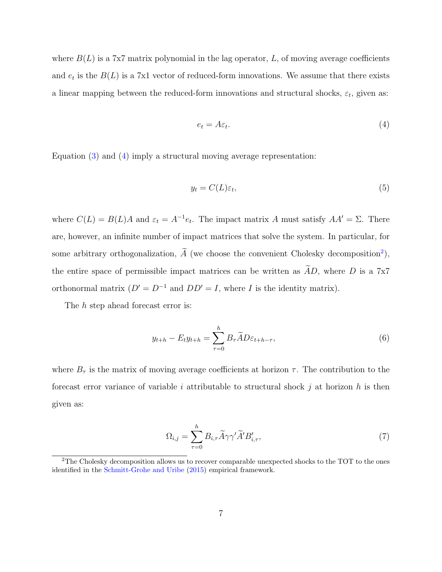where  $B(L)$  is a 7x7 matrix polynomial in the lag operator, L, of moving average coefficients and  $e_t$  is the  $B(L)$  is a 7x1 vector of reduced-form innovations. We assume that there exists a linear mapping between the reduced-form innovations and structural shocks,  $\varepsilon_t$ , given as:

<span id="page-8-0"></span>
$$
e_t = A\varepsilon_t. \tag{4}
$$

Equation [\(3\)](#page-7-0) and [\(4\)](#page-8-0) imply a structural moving average representation:

$$
y_t = C(L)\varepsilon_t,\tag{5}
$$

where  $C(L) = B(L)A$  and  $\varepsilon_t = A^{-1}e_t$ . The impact matrix A must satisfy  $AA' = \Sigma$ . There are, however, an infinite number of impact matrices that solve the system. In particular, for some arbitrary orthogonalization,  $\tilde{A}$  (we choose the convenient Cholesky decomposition<sup>[2](#page-8-1)</sup>), the entire space of permissible impact matrices can be written as  $AD$ , where D is a 7x7 orthonormal matrix  $(D' = D^{-1}$  and  $DD' = I$ , where I is the identity matrix).

The h step ahead forecast error is:

$$
y_{t+h} - E_t y_{t+h} = \sum_{\tau=0}^h B_\tau \widetilde{A} D \varepsilon_{t+h-\tau},
$$
\n<sup>(6)</sup>

where  $B_{\tau}$  is the matrix of moving average coefficients at horizon  $\tau$ . The contribution to the forecast error variance of variable i attributable to structural shock j at horizon h is then given as:

$$
\Omega_{i,j} = \sum_{\tau=0}^{h} B_{i,\tau} \widetilde{A} \gamma \gamma' \widetilde{A}' B'_{i,\tau},\tag{7}
$$

<span id="page-8-1"></span><sup>&</sup>lt;sup>2</sup>The Cholesky decomposition allows us to recover comparable unexpected shocks to the TOT to the ones identified in the [Schmitt-Grohe and Uribe](#page-42-0) [\(2015\)](#page-42-0) empirical framework.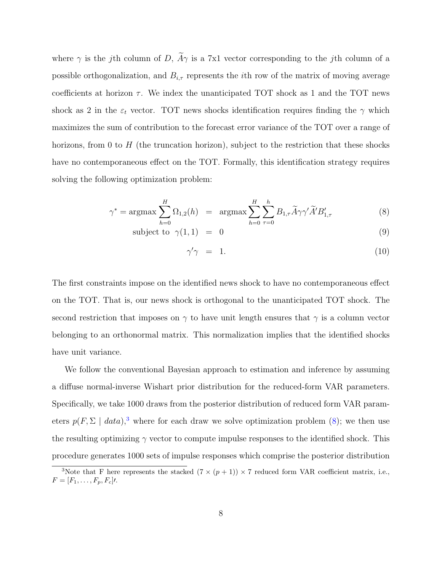where  $\gamma$  is the jth column of D,  $\widetilde{A}\gamma$  is a 7x1 vector corresponding to the jth column of a possible orthogonalization, and  $B_{i,\tau}$  represents the *i*th row of the matrix of moving average coefficients at horizon  $\tau$ . We index the unanticipated TOT shock as 1 and the TOT news shock as 2 in the  $\varepsilon_t$  vector. TOT news shocks identification requires finding the  $\gamma$  which maximizes the sum of contribution to the forecast error variance of the TOT over a range of horizons, from 0 to  $H$  (the truncation horizon), subject to the restriction that these shocks have no contemporaneous effect on the TOT. Formally, this identification strategy requires solving the following optimization problem:

<span id="page-9-1"></span>
$$
\gamma^* = \operatorname{argmax} \sum_{h=0}^H \Omega_{1,2}(h) = \operatorname{argmax} \sum_{h=0}^H \sum_{\tau=0}^h B_{1,\tau} \widetilde{A} \gamma \gamma' \widetilde{A}' B'_{1,\tau}
$$
(8)

subject to 
$$
\gamma(1,1) = 0
$$
 (9)

$$
\gamma'\gamma = 1. \tag{10}
$$

The first constraints impose on the identified news shock to have no contemporaneous effect on the TOT. That is, our news shock is orthogonal to the unanticipated TOT shock. The second restriction that imposes on  $\gamma$  to have unit length ensures that  $\gamma$  is a column vector belonging to an orthonormal matrix. This normalization implies that the identified shocks have unit variance.

We follow the conventional Bayesian approach to estimation and inference by assuming a diffuse normal-inverse Wishart prior distribution for the reduced-form VAR parameters. Specifically, we take 1000 draws from the posterior distribution of reduced form VAR parameters  $p(F, \Sigma \mid data),^3$  $p(F, \Sigma \mid data),^3$  where for each draw we solve optimization problem [\(8\)](#page-9-1); we then use the resulting optimizing  $\gamma$  vector to compute impulse responses to the identified shock. This procedure generates 1000 sets of impulse responses which comprise the posterior distribution

<span id="page-9-0"></span><sup>&</sup>lt;sup>3</sup>Note that F here represents the stacked  $(7 \times (p + 1)) \times 7$  reduced form VAR coefficient matrix, i.e.,  $F = [F_1, \ldots, F_p, F_c]$ *l*.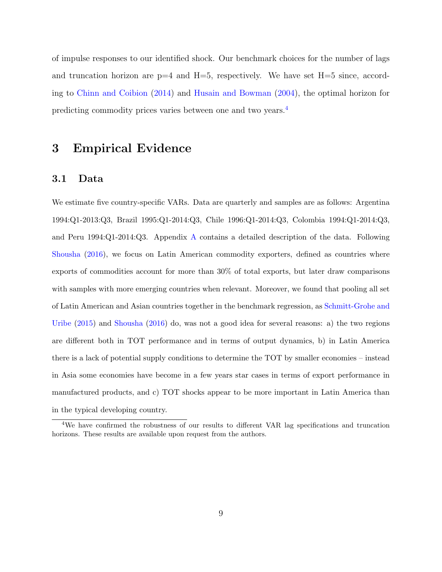of impulse responses to our identified shock. Our benchmark choices for the number of lags and truncation horizon are  $p=4$  and  $H=5$ , respectively. We have set  $H=5$  since, according to [Chinn and Coibion](#page-40-0) [\(2014\)](#page-40-0) and [Husain and Bowman](#page-41-3) [\(2004\)](#page-41-3), the optimal horizon for predicting commodity prices varies between one and two years.[4](#page-10-1)

# <span id="page-10-0"></span>3 Empirical Evidence

### 3.1 Data

We estimate five country-specific VARs. Data are quarterly and samples are as follows: Argentina 1994:Q1-2013:Q3, Brazil 1995:Q1-2014:Q3, Chile 1996:Q1-2014:Q3, Colombia 1994:Q1-2014:Q3, and Peru 1994:Q1-2014:Q3. Appendix [A](#page-43-0) contains a detailed description of the data. Following [Shousha](#page-42-4) [\(2016\)](#page-42-4), we focus on Latin American commodity exporters, defined as countries where exports of commodities account for more than 30% of total exports, but later draw comparisons with samples with more emerging countries when relevant. Moreover, we found that pooling all set of Latin American and Asian countries together in the benchmark regression, as [Schmitt-Grohe and](#page-42-0) [Uribe](#page-42-0) [\(2015\)](#page-42-0) and [Shousha](#page-42-4) [\(2016\)](#page-42-4) do, was not a good idea for several reasons: a) the two regions are different both in TOT performance and in terms of output dynamics, b) in Latin America there is a lack of potential supply conditions to determine the TOT by smaller economies – instead in Asia some economies have become in a few years star cases in terms of export performance in manufactured products, and c) TOT shocks appear to be more important in Latin America than in the typical developing country.

<span id="page-10-1"></span><sup>4</sup>We have confirmed the robustness of our results to different VAR lag specifications and truncation horizons. These results are available upon request from the authors.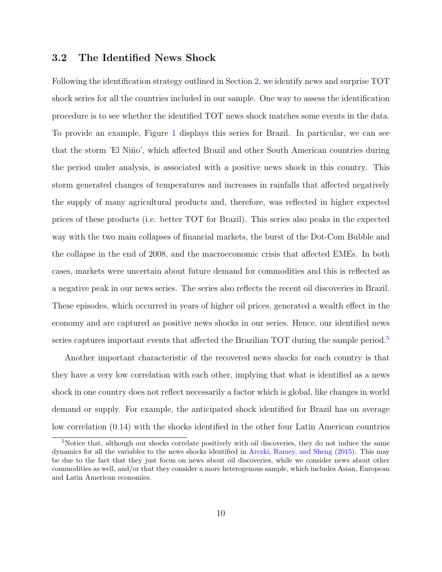### 3.2 The Identified News Shock

Following the identification strategy outlined in Section [2,](#page-6-0) we identify news and surprise TOT shock series for all the countries included in our sample. One way to assess the identification procedure is to see whether the identified TOT news shock matches some events in the data. To provide an example, Figure [1](#page-30-0) displays this series for Brazil. In particular, we can see that the storm 'El Niño', which affected Brazil and other South American countries during the period under analysis, is associated with a positive news shock in this country. This storm generated changes of temperatures and increases in rainfalls that affected negatively the supply of many agricultural products and, therefore, was reflected in higher expected prices of these products (i.e. better TOT for Brazil). This series also peaks in the expected way with the two main collapses of financial markets, the burst of the Dot-Com Bubble and the collapse in the end of 2008, and the macroeconomic crisis that affected EMEs. In both cases, markets were uncertain about future demand for commodities and this is reflected as a negative peak in our news series. The series also reflects the recent oil discoveries in Brazil. These episodes, which occurred in years of higher oil prices, generated a wealth effect in the economy and are captured as positive news shocks in our series. Hence, our identified news series captures important events that affected the Brazilian TOT during the sample period.<sup>[5](#page-11-0)</sup>

Another important characteristic of the recovered news shocks for each country is that they have a very low correlation with each other, implying that what is identified as a news shock in one country does not reflect necessarily a factor which is global, like changes in world demand or supply. For example, the anticipated shock identified for Brazil has on average low correlation (0.14) with the shocks identified in the other four Latin American countries

<span id="page-11-0"></span><sup>5</sup>Notice that, although our shocks correlate positively with oil discoveries, they do not induce the same dynamics for all the variables to the news shocks identified in [Arezki, Ramey, and Sheng](#page-40-3) [\(2015\)](#page-40-3). This may be due to the fact that they just focus on news about oil discoveries, while we consider news about other commodities as well, and/or that they consider a more heterogenous sample, which includes Asian, European and Latin American economies.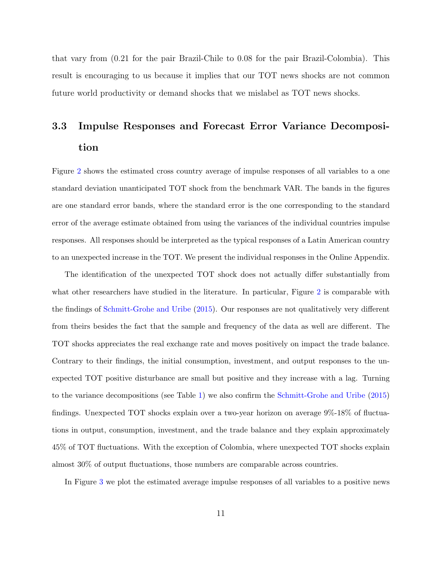that vary from (0.21 for the pair Brazil-Chile to 0.08 for the pair Brazil-Colombia). This result is encouraging to us because it implies that our TOT news shocks are not common future world productivity or demand shocks that we mislabel as TOT news shocks.

# <span id="page-12-0"></span>3.3 Impulse Responses and Forecast Error Variance Decomposition

Figure [2](#page-31-0) shows the estimated cross country average of impulse responses of all variables to a one standard deviation unanticipated TOT shock from the benchmark VAR. The bands in the figures are one standard error bands, where the standard error is the one corresponding to the standard error of the average estimate obtained from using the variances of the individual countries impulse responses. All responses should be interpreted as the typical responses of a Latin American country to an unexpected increase in the TOT. We present the individual responses in the Online Appendix.

The identification of the unexpected TOT shock does not actually differ substantially from what other researchers have studied in the literature. In particular, Figure [2](#page-31-0) is comparable with the findings of [Schmitt-Grohe and Uribe](#page-42-0) [\(2015\)](#page-42-0). Our responses are not qualitatively very different from theirs besides the fact that the sample and frequency of the data as well are different. The TOT shocks appreciates the real exchange rate and moves positively on impact the trade balance. Contrary to their findings, the initial consumption, investment, and output responses to the unexpected TOT positive disturbance are small but positive and they increase with a lag. Turning to the variance decompositions (see Table [1\)](#page-33-0) we also confirm the [Schmitt-Grohe and Uribe](#page-42-0) [\(2015\)](#page-42-0) findings. Unexpected TOT shocks explain over a two-year horizon on average 9%-18% of fluctuations in output, consumption, investment, and the trade balance and they explain approximately 45% of TOT fluctuations. With the exception of Colombia, where unexpected TOT shocks explain almost 30% of output fluctuations, those numbers are comparable across countries.

In Figure [3](#page-32-0) we plot the estimated average impulse responses of all variables to a positive news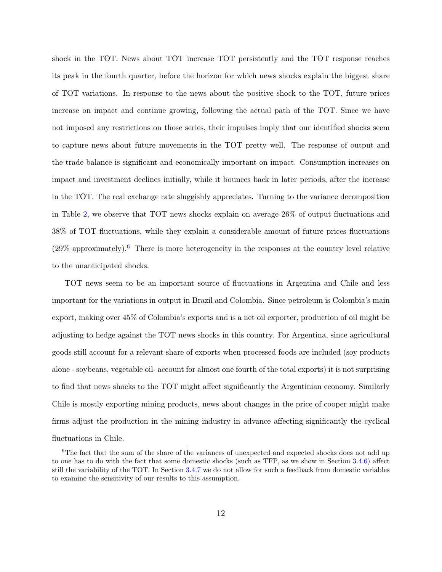shock in the TOT. News about TOT increase TOT persistently and the TOT response reaches its peak in the fourth quarter, before the horizon for which news shocks explain the biggest share of TOT variations. In response to the news about the positive shock to the TOT, future prices increase on impact and continue growing, following the actual path of the TOT. Since we have not imposed any restrictions on those series, their impulses imply that our identified shocks seem to capture news about future movements in the TOT pretty well. The response of output and the trade balance is significant and economically important on impact. Consumption increases on impact and investment declines initially, while it bounces back in later periods, after the increase in the TOT. The real exchange rate sluggishly appreciates. Turning to the variance decomposition in Table [2,](#page-33-1) we observe that TOT news shocks explain on average 26% of output fluctuations and 38% of TOT fluctuations, while they explain a considerable amount of future prices fluctuations  $(29\%$  approximately).<sup>[6](#page-13-0)</sup> There is more heterogeneity in the responses at the country level relative to the unanticipated shocks.

TOT news seem to be an important source of fluctuations in Argentina and Chile and less important for the variations in output in Brazil and Colombia. Since petroleum is Colombia's main export, making over 45% of Colombia's exports and is a net oil exporter, production of oil might be adjusting to hedge against the TOT news shocks in this country. For Argentina, since agricultural goods still account for a relevant share of exports when processed foods are included (soy products alone - soybeans, vegetable oil- account for almost one fourth of the total exports) it is not surprising to find that news shocks to the TOT might affect significantly the Argentinian economy. Similarly Chile is mostly exporting mining products, news about changes in the price of cooper might make firms adjust the production in the mining industry in advance affecting significantly the cyclical fluctuations in Chile.

<span id="page-13-0"></span><sup>&</sup>lt;sup>6</sup>The fact that the sum of the share of the variances of unexpected and expected shocks does not add up to one has to do with the fact that some domestic shocks (such as TFP, as we show in Section [3.4.6\)](#page-19-0) affect still the variability of the TOT. In Section [3.4.7](#page-19-1) we do not allow for such a feedback from domestic variables to examine the sensitivity of our results to this assumption.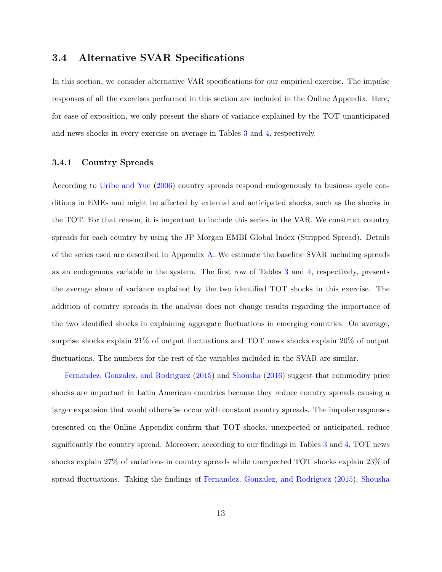### <span id="page-14-0"></span>3.4 Alternative SVAR Specifications

In this section, we consider alternative VAR specifications for our empirical exercise. The impulse responses of all the exercises performed in this section are included in the Online Appendix. Here, for ease of exposition, we only present the share of variance explained by the TOT unanticipated and news shocks in every exercise on average in Tables [3](#page-34-0) and [4,](#page-35-0) respectively.

### <span id="page-14-1"></span>3.4.1 Country Spreads

According to [Uribe and Yue](#page-42-6) [\(2006\)](#page-42-6) country spreads respond endogenously to business cycle conditions in EMEs and might be affected by external and anticipated shocks, such as the shocks in the TOT. For that reason, it is important to include this series in the VAR. We construct country spreads for each country by using the JP Morgan EMBI Global Index (Stripped Spread). Details of the series used are described in Appendix [A.](#page-43-0) We estimate the baseline SVAR including spreads as an endogenous variable in the system. The first row of Tables [3](#page-34-0) and [4,](#page-35-0) respectively, presents the average share of variance explained by the two identified TOT shocks in this exercise. The addition of country spreads in the analysis does not change results regarding the importance of the two identified shocks in explaining aggregate fluctuations in emerging countries. On average, surprise shocks explain 21% of output fluctuations and TOT news shocks explain 20% of output fluctuations. The numbers for the rest of the variables included in the SVAR are similar.

[Fernandez, Gonzalez, and Rodriguez](#page-41-4) [\(2015\)](#page-41-4) and [Shousha](#page-42-4) [\(2016\)](#page-42-4) suggest that commodity price shocks are important in Latin American countries because they reduce country spreads causing a larger expansion that would otherwise occur with constant country spreads. The impulse responses presented on the Online Appendix confirm that TOT shocks, unexpected or anticipated, reduce significantly the country spread. Moreover, according to our findings in Tables [3](#page-34-0) and [4,](#page-35-0) TOT news shocks explain 27% of variations in country spreads while unexpected TOT shocks explain 23% of spread fluctuations. Taking the findings of [Fernandez, Gonzalez, and Rodriguez](#page-41-4) [\(2015\)](#page-41-4), [Shousha](#page-42-4)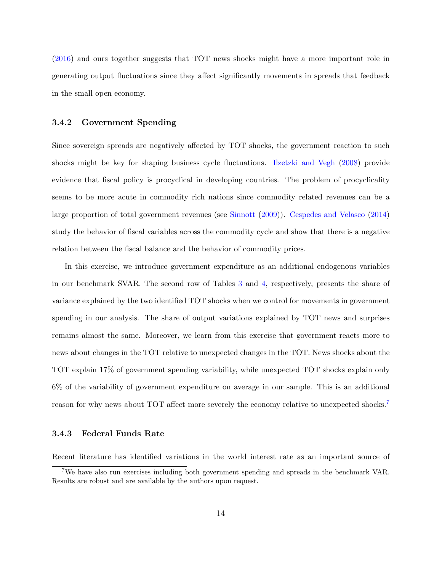[\(2016\)](#page-42-4) and ours together suggests that TOT news shocks might have a more important role in generating output fluctuations since they affect significantly movements in spreads that feedback in the small open economy.

#### <span id="page-15-1"></span>3.4.2 Government Spending

Since sovereign spreads are negatively affected by TOT shocks, the government reaction to such shocks might be key for shaping business cycle fluctuations. [Ilzetzki and Vegh](#page-41-7) [\(2008\)](#page-41-7) provide evidence that fiscal policy is procyclical in developing countries. The problem of procyclicality seems to be more acute in commodity rich nations since commodity related revenues can be a large proportion of total government revenues (see [Sinnott](#page-42-7) [\(2009\)](#page-42-7)). [Cespedes and Velasco](#page-40-4) [\(2014\)](#page-40-4) study the behavior of fiscal variables across the commodity cycle and show that there is a negative relation between the fiscal balance and the behavior of commodity prices.

In this exercise, we introduce government expenditure as an additional endogenous variables in our benchmark SVAR. The second row of Tables [3](#page-34-0) and [4,](#page-35-0) respectively, presents the share of variance explained by the two identified TOT shocks when we control for movements in government spending in our analysis. The share of output variations explained by TOT news and surprises remains almost the same. Moreover, we learn from this exercise that government reacts more to news about changes in the TOT relative to unexpected changes in the TOT. News shocks about the TOT explain 17% of government spending variability, while unexpected TOT shocks explain only 6% of the variability of government expenditure on average in our sample. This is an additional reason for why news about TOT affect more severely the economy relative to unexpected shocks.<sup>[7](#page-15-0)</sup>

#### <span id="page-15-2"></span>3.4.3 Federal Funds Rate

Recent literature has identified variations in the world interest rate as an important source of

<span id="page-15-0"></span><sup>7</sup>We have also run exercises including both government spending and spreads in the benchmark VAR. Results are robust and are available by the authors upon request.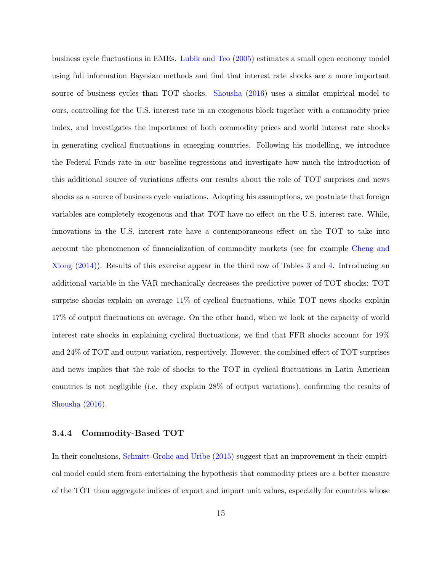business cycle fluctuations in EMEs. [Lubik and Teo](#page-41-8) [\(2005\)](#page-41-8) estimates a small open economy model using full information Bayesian methods and find that interest rate shocks are a more important source of business cycles than TOT shocks. [Shousha](#page-42-4) [\(2016\)](#page-42-4) uses a similar empirical model to ours, controlling for the U.S. interest rate in an exogenous block together with a commodity price index, and investigates the importance of both commodity prices and world interest rate shocks in generating cyclical fluctuations in emerging countries. Following his modelling, we introduce the Federal Funds rate in our baseline regressions and investigate how much the introduction of this additional source of variations affects our results about the role of TOT surprises and news shocks as a source of business cycle variations. Adopting his assumptions, we postulate that foreign variables are completely exogenous and that TOT have no effect on the U.S. interest rate. While, innovations in the U.S. interest rate have a contemporaneous effect on the TOT to take into account the phenomenon of financialization of commodity markets (see for example [Cheng and](#page-40-5) [Xiong](#page-40-5) [\(2014\)](#page-40-5)). Results of this exercise appear in the third row of Tables [3](#page-34-0) and [4.](#page-35-0) Introducing an additional variable in the VAR mechanically decreases the predictive power of TOT shocks: TOT surprise shocks explain on average 11% of cyclical fluctuations, while TOT news shocks explain 17% of output fluctuations on average. On the other hand, when we look at the capacity of world interest rate shocks in explaining cyclical fluctuations, we find that FFR shocks account for 19% and 24% of TOT and output variation, respectively. However, the combined effect of TOT surprises and news implies that the role of shocks to the TOT in cyclical fluctuations in Latin American countries is not negligible (i.e. they explain 28% of output variations), confirming the results of [Shousha](#page-42-4) [\(2016\)](#page-42-4).

#### <span id="page-16-0"></span>3.4.4 Commodity-Based TOT

In their conclusions, [Schmitt-Grohe and Uribe](#page-42-0) [\(2015\)](#page-42-0) suggest that an improvement in their empirical model could stem from entertaining the hypothesis that commodity prices are a better measure of the TOT than aggregate indices of export and import unit values, especially for countries whose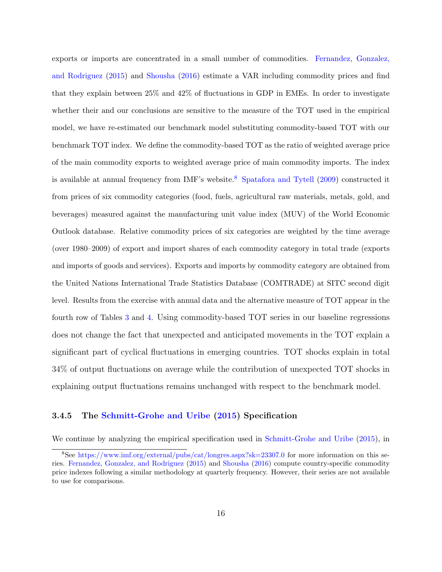exports or imports are concentrated in a small number of commodities. [Fernandez, Gonzalez,](#page-41-4) [and Rodriguez](#page-41-4) [\(2015\)](#page-41-4) and [Shousha](#page-42-4) [\(2016\)](#page-42-4) estimate a VAR including commodity prices and find that they explain between 25% and 42% of fluctuations in GDP in EMEs. In order to investigate whether their and our conclusions are sensitive to the measure of the TOT used in the empirical model, we have re-estimated our benchmark model substituting commodity-based TOT with our benchmark TOT index. We define the commodity-based TOT as the ratio of weighted average price of the main commodity exports to weighted average price of main commodity imports. The index is available at annual frequency from IMF's website.<sup>[8](#page-17-0)</sup> [Spatafora and Tytell](#page-42-8)  $(2009)$  constructed it from prices of six commodity categories (food, fuels, agricultural raw materials, metals, gold, and beverages) measured against the manufacturing unit value index (MUV) of the World Economic Outlook database. Relative commodity prices of six categories are weighted by the time average (over 1980–2009) of export and import shares of each commodity category in total trade (exports and imports of goods and services). Exports and imports by commodity category are obtained from the United Nations International Trade Statistics Database (COMTRADE) at SITC second digit level. Results from the exercise with annual data and the alternative measure of TOT appear in the fourth row of Tables [3](#page-34-0) and [4.](#page-35-0) Using commodity-based TOT series in our baseline regressions does not change the fact that unexpected and anticipated movements in the TOT explain a significant part of cyclical fluctuations in emerging countries. TOT shocks explain in total 34% of output fluctuations on average while the contribution of unexpected TOT shocks in explaining output fluctuations remains unchanged with respect to the benchmark model.

#### <span id="page-17-1"></span>3.4.5 The [Schmitt-Grohe and Uribe](#page-42-0) [\(2015\)](#page-42-0) Specification

We continue by analyzing the empirical specification used in [Schmitt-Grohe and Uribe](#page-42-0) [\(2015\)](#page-42-0), in

<span id="page-17-0"></span><sup>8</sup>See <https://www.imf.org/external/pubs/cat/longres.aspx?sk=23307.0> for more information on this series. [Fernandez, Gonzalez, and Rodriguez](#page-41-4) [\(2015\)](#page-41-4) and [Shousha](#page-42-4) [\(2016\)](#page-42-4) compute country-specific commodity price indexes following a similar methodology at quarterly frequency. However, their series are not available to use for comparisons.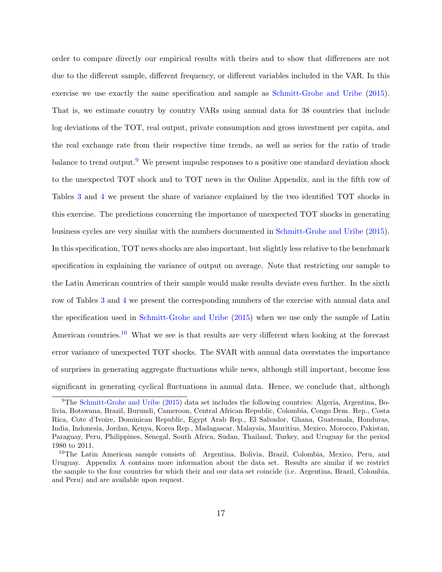order to compare directly our empirical results with theirs and to show that differences are not due to the different sample, different frequency, or different variables included in the VAR. In this exercise we use exactly the same specification and sample as [Schmitt-Grohe and Uribe](#page-42-0) [\(2015\)](#page-42-0). That is, we estimate country by country VARs using annual data for 38 countries that include log deviations of the TOT, real output, private consumption and gross investment per capita, and the real exchange rate from their respective time trends, as well as series for the ratio of trade balance to trend output.<sup>[9](#page-18-0)</sup> We present impulse responses to a positive one standard deviation shock to the unexpected TOT shock and to TOT news in the Online Appendix, and in the fifth row of Tables [3](#page-34-0) and [4](#page-35-0) we present the share of variance explained by the two identified TOT shocks in this exercise. The predictions concerning the importance of unexpected TOT shocks in generating business cycles are very similar with the numbers documented in [Schmitt-Grohe and Uribe](#page-42-0) [\(2015\)](#page-42-0). In this specification, TOT news shocks are also important, but slightly less relative to the benchmark specification in explaining the variance of output on average. Note that restricting our sample to the Latin American countries of their sample would make results deviate even further. In the sixth row of Tables [3](#page-34-0) and [4](#page-35-0) we present the corresponding numbers of the exercise with annual data and the specification used in [Schmitt-Grohe and Uribe](#page-42-0) [\(2015\)](#page-42-0) when we use only the sample of Latin American countries.<sup>[10](#page-18-1)</sup> What we see is that results are very different when looking at the forecast error variance of unexpected TOT shocks. The SVAR with annual data overstates the importance of surprises in generating aggregate fluctuations while news, although still important, become less significant in generating cyclical fluctuations in annual data. Hence, we conclude that, although

<span id="page-18-0"></span><sup>9</sup>The [Schmitt-Grohe and Uribe](#page-42-0) [\(2015\)](#page-42-0) data set includes the following countries: Algeria, Argentina, Bolivia, Botswana, Brazil, Burundi, Cameroon, Central African Republic, Colombia, Congo Dem. Rep., Costa Rica, Cote d'Ivoire, Dominican Republic, Egypt Arab Rep., El Salvador, Ghana, Guatemala, Honduras, India, Indonesia, Jordan, Kenya, Korea Rep., Madagascar, Malaysia, Mauritius, Mexico, Morocco, Pakistan, Paraguay, Peru, Philippines, Senegal, South Africa, Sudan, Thailand, Turkey, and Uruguay for the period 1980 to 2011.

<span id="page-18-1"></span><sup>&</sup>lt;sup>10</sup>The Latin American sample consists of: Argentina, Bolivia, Brazil, Colombia, Mexico, Peru, and Uruguay. Appendix [A](#page-43-0) contains more information about the data set. Results are similar if we restrict the sample to the four countries for which their and our data set coincide (i.e. Argentina, Brazil, Colombia, and Peru) and are available upon request.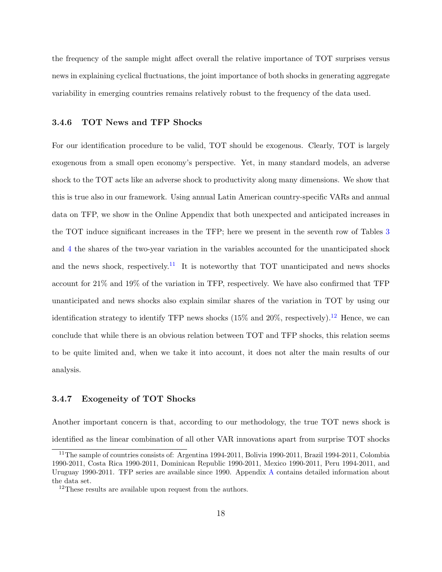the frequency of the sample might affect overall the relative importance of TOT surprises versus news in explaining cyclical fluctuations, the joint importance of both shocks in generating aggregate variability in emerging countries remains relatively robust to the frequency of the data used.

#### <span id="page-19-0"></span>3.4.6 TOT News and TFP Shocks

For our identification procedure to be valid, TOT should be exogenous. Clearly, TOT is largely exogenous from a small open economy's perspective. Yet, in many standard models, an adverse shock to the TOT acts like an adverse shock to productivity along many dimensions. We show that this is true also in our framework. Using annual Latin American country-specific VARs and annual data on TFP, we show in the Online Appendix that both unexpected and anticipated increases in the TOT induce significant increases in the TFP; here we present in the seventh row of Tables [3](#page-34-0) and [4](#page-35-0) the shares of the two-year variation in the variables accounted for the unanticipated shock and the news shock, respectively.<sup>[11](#page-19-2)</sup> It is noteworthy that TOT unanticipated and news shocks account for 21% and 19% of the variation in TFP, respectively. We have also confirmed that TFP unanticipated and news shocks also explain similar shares of the variation in TOT by using our identification strategy to identify TFP news shocks (15% and 20%, respectively).<sup>[12](#page-19-3)</sup> Hence, we can conclude that while there is an obvious relation between TOT and TFP shocks, this relation seems to be quite limited and, when we take it into account, it does not alter the main results of our analysis.

#### <span id="page-19-1"></span>3.4.7 Exogeneity of TOT Shocks

Another important concern is that, according to our methodology, the true TOT news shock is identified as the linear combination of all other VAR innovations apart from surprise TOT shocks

<span id="page-19-2"></span><sup>&</sup>lt;sup>11</sup>The sample of countries consists of: Argentina 1994-2011, Bolivia 1990-2011, Brazil 1994-2011, Colombia 1990-2011, Costa Rica 1990-2011, Dominican Republic 1990-2011, Mexico 1990-2011, Peru 1994-2011, and Uruguay 1990-2011. TFP series are available since 1990. Appendix [A](#page-43-0) contains detailed information about the data set.

<span id="page-19-3"></span><sup>&</sup>lt;sup>12</sup>These results are available upon request from the authors.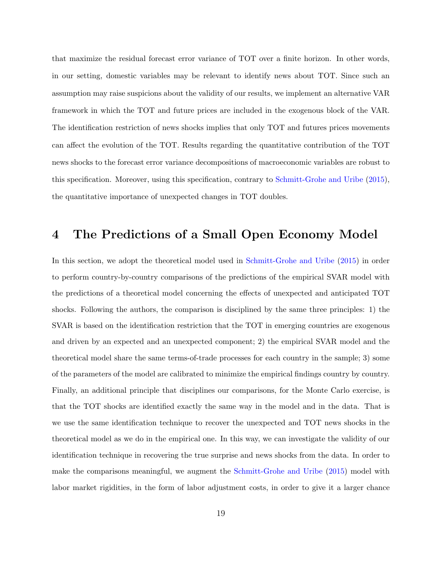that maximize the residual forecast error variance of TOT over a finite horizon. In other words, in our setting, domestic variables may be relevant to identify news about TOT. Since such an assumption may raise suspicions about the validity of our results, we implement an alternative VAR framework in which the TOT and future prices are included in the exogenous block of the VAR. The identification restriction of news shocks implies that only TOT and futures prices movements can affect the evolution of the TOT. Results regarding the quantitative contribution of the TOT news shocks to the forecast error variance decompositions of macroeconomic variables are robust to this specification. Moreover, using this specification, contrary to [Schmitt-Grohe and Uribe](#page-42-0) [\(2015\)](#page-42-0), the quantitative importance of unexpected changes in TOT doubles.

# <span id="page-20-0"></span>4 The Predictions of a Small Open Economy Model

In this section, we adopt the theoretical model used in [Schmitt-Grohe and Uribe](#page-42-0) [\(2015\)](#page-42-0) in order to perform country-by-country comparisons of the predictions of the empirical SVAR model with the predictions of a theoretical model concerning the effects of unexpected and anticipated TOT shocks. Following the authors, the comparison is disciplined by the same three principles: 1) the SVAR is based on the identification restriction that the TOT in emerging countries are exogenous and driven by an expected and an unexpected component; 2) the empirical SVAR model and the theoretical model share the same terms-of-trade processes for each country in the sample; 3) some of the parameters of the model are calibrated to minimize the empirical findings country by country. Finally, an additional principle that disciplines our comparisons, for the Monte Carlo exercise, is that the TOT shocks are identified exactly the same way in the model and in the data. That is we use the same identification technique to recover the unexpected and TOT news shocks in the theoretical model as we do in the empirical one. In this way, we can investigate the validity of our identification technique in recovering the true surprise and news shocks from the data. In order to make the comparisons meaningful, we augment the [Schmitt-Grohe and Uribe](#page-42-0) [\(2015\)](#page-42-0) model with labor market rigidities, in the form of labor adjustment costs, in order to give it a larger chance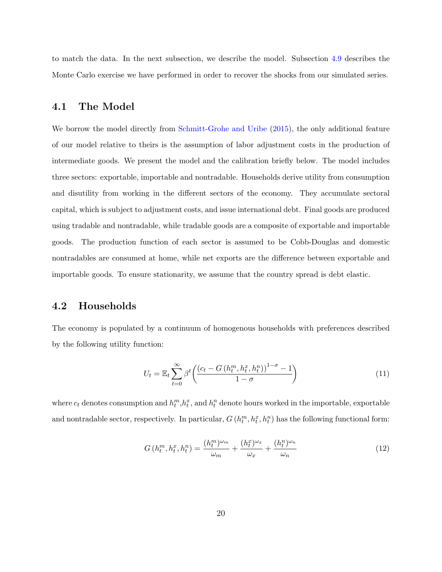to match the data. In the next subsection, we describe the model. Subsection [4.9](#page-25-0) describes the Monte Carlo exercise we have performed in order to recover the shocks from our simulated series.

### <span id="page-21-0"></span>4.1 The Model

We borrow the model directly from [Schmitt-Grohe and Uribe](#page-42-0) [\(2015\)](#page-42-0), the only additional feature of our model relative to theirs is the assumption of labor adjustment costs in the production of intermediate goods. We present the model and the calibration briefly below. The model includes three sectors: exportable, importable and nontradable. Households derive utility from consumption and disutility from working in the different sectors of the economy. They accumulate sectoral capital, which is subject to adjustment costs, and issue international debt. Final goods are produced using tradable and nontradable, while tradable goods are a composite of exportable and importable goods. The production function of each sector is assumed to be Cobb-Douglas and domestic nontradables are consumed at home, while net exports are the difference between exportable and importable goods. To ensure stationarity, we assume that the country spread is debt elastic.

### 4.2 Households

The economy is populated by a continuum of homogenous households with preferences described by the following utility function:

$$
U_t = \mathbb{E}_t \sum_{t=0}^{\infty} \beta^t \left( \frac{\left(c_t - G\left(h_t^m, h_t^x, h_t^n\right)\right)^{1-\sigma} - 1}{1-\sigma}\right) \tag{11}
$$

where  $c_t$  denotes consumption and  $h_t^m, h_t^x$ , and  $h_t^n$  denote hours worked in the importable, exportable and nontradable sector, respectively. In particular,  $G(h_t^m, h_t^x, h_t^n)$  has the following functional form:

$$
G\left(h_t^m, h_t^x, h_t^n\right) = \frac{(h_t^m)^{\omega_m}}{\omega_m} + \frac{(h_t^x)^{\omega_x}}{\omega_x} + \frac{(h_t^n)^{\omega_n}}{\omega_n} \tag{12}
$$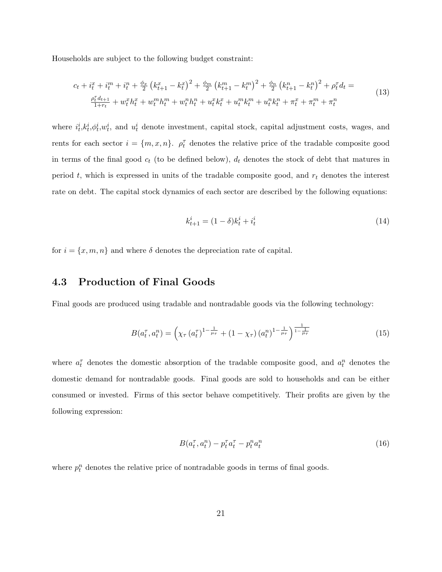Households are subject to the following budget constraint:

$$
c_{t} + i_{t}^{x} + i_{t}^{m} + i_{t}^{n} + \frac{\phi_{x}}{2} \left(k_{t+1}^{x} - k_{t}^{x}\right)^{2} + \frac{\phi_{m}}{2} \left(k_{t+1}^{m} - k_{t}^{m}\right)^{2} + \frac{\phi_{n}}{2} \left(k_{t+1}^{n} - k_{t}^{n}\right)^{2} + \rho_{t}^{T} d_{t} =
$$
\n
$$
\frac{\rho_{t}^{T} d_{t+1}}{1 + r_{t}} + w_{t}^{x} h_{t}^{x} + w_{t}^{m} h_{t}^{m} + w_{t}^{n} h_{t}^{n} + u_{t}^{x} k_{t}^{x} + u_{t}^{m} k_{t}^{m} + u_{t}^{n} k_{t}^{n} + \pi_{t}^{x} + \pi_{t}^{m} + \pi_{t}^{n}
$$
\n
$$
(13)
$$

where  $i_t^i, k_t^i, \phi_t^i, w_t^i$ , and  $u_t^i$  denote investment, capital stock, capital adjustment costs, wages, and rents for each sector  $i = \{m, x, n\}$ .  $\rho_t^{\tau}$  denotes the relative price of the tradable composite good in terms of the final good  $c_t$  (to be defined below),  $d_t$  denotes the stock of debt that matures in period t, which is expressed in units of the tradable composite good, and  $r_t$  denotes the interest rate on debt. The capital stock dynamics of each sector are described by the following equations:

$$
k_{t+1}^i = (1 - \delta)k_t^i + i_t^i
$$
\n(14)

for  $i = \{x, m, n\}$  and where  $\delta$  denotes the depreciation rate of capital.

# 4.3 Production of Final Goods

Final goods are produced using tradable and nontradable goods via the following technology:

$$
B(a_t^{\tau}, a_t^n) = \left(\chi_{\tau} (a_t^{\tau})^{1 - \frac{1}{\mu_{\tau}}} + (1 - \chi_{\tau}) (a_t^n)^{1 - \frac{1}{\mu_{\tau}}} \right)^{\frac{1}{1 - \frac{1}{\mu_{\tau}}}}
$$
(15)

where  $a_t^{\tau}$  denotes the domestic absorption of the tradable composite good, and  $a_t^n$  denotes the domestic demand for nontradable goods. Final goods are sold to households and can be either consumed or invested. Firms of this sector behave competitively. Their profits are given by the following expression:

$$
B(a_t^\tau, a_t^n) - p_t^\tau a_t^\tau - p_t^n a_t^n \tag{16}
$$

where  $p_t^n$  denotes the relative price of nontradable goods in terms of final goods.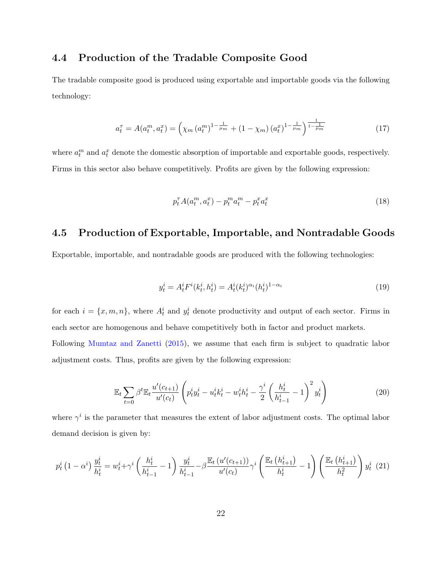# 4.4 Production of the Tradable Composite Good

The tradable composite good is produced using exportable and importable goods via the following technology:

$$
a_t^{\tau} = A(a_t^m, a_t^x) = \left(\chi_m \left(a_t^m\right)^{1 - \frac{1}{\mu_m}} + \left(1 - \chi_m\right) \left(a_t^x\right)^{1 - \frac{1}{\mu_m}}\right)^{\frac{1}{1 - \frac{1}{\mu_m}}} \tag{17}
$$

where  $a_t^m$  and  $a_t^x$  denote the domestic absorption of importable and exportable goods, respectively. Firms in this sector also behave competitively. Profits are given by the following expression:

$$
p_t^{\tau} A(a_t^m, a_t^x) - p_t^m a_t^m - p_t^x a_t^x \tag{18}
$$

# 4.5 Production of Exportable, Importable, and Nontradable Goods

Exportable, importable, and nontradable goods are produced with the following technologies:

$$
y_t^i = A_t^i F^i(k_t^i, h_t^i) = A_t^i(k_t^i)^{\alpha_i} (h_t^i)^{1-\alpha_i}
$$
\n(19)

for each  $i = \{x, m, n\}$ , where  $A_t^i$  and  $y_t^i$  denote productivity and output of each sector. Firms in each sector are homogenous and behave competitively both in factor and product markets. Following [Mumtaz and Zanetti](#page-42-9) [\(2015\)](#page-42-9), we assume that each firm is subject to quadratic labor adjustment costs. Thus, profits are given by the following expression:

$$
\mathbb{E}_{t} \sum_{t=0} \beta^{t} \mathbb{E}_{t} \frac{u'(c_{t+1})}{u'(c_{t})} \left( p_{t}^{i} y_{t}^{i} - u_{t}^{i} k_{t}^{i} - w_{t}^{i} h_{t}^{i} - \frac{\gamma^{i}}{2} \left( \frac{h_{t}^{i}}{h_{t-1}^{i}} - 1 \right)^{2} y_{t}^{i} \right)
$$
(20)

where  $\gamma^i$  is the parameter that measures the extent of labor adjustment costs. The optimal labor demand decision is given by:

$$
p_t^i (1 - \alpha^i) \frac{y_t^i}{h_t^i} = w_t^i + \gamma^i \left( \frac{h_t^i}{h_{t-1}^i} - 1 \right) \frac{y_t^i}{h_{t-1}^i} - \beta \frac{\mathbb{E}_t \left( u'(c_{t+1}) \right)}{u'(c_t)} \gamma^i \left( \frac{\mathbb{E}_t \left( h_{t+1}^i \right)}{h_t^i} - 1 \right) \left( \frac{\mathbb{E}_t \left( h_{t+1}^i \right)}{h_t^2} \right) y_t^i (21)
$$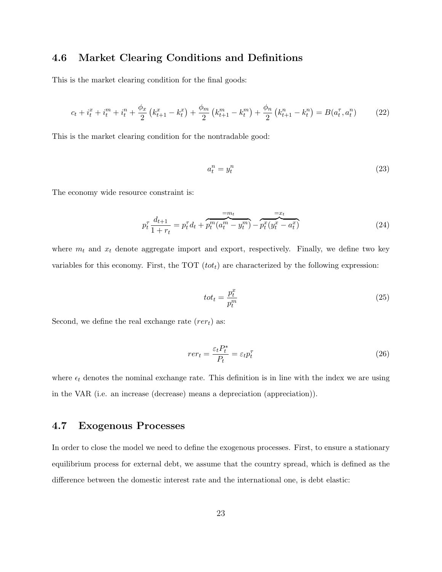# 4.6 Market Clearing Conditions and Definitions

This is the market clearing condition for the final goods:

$$
c_t + i_t^x + i_t^m + i_t^n + \frac{\phi_x}{2} \left( k_{t+1}^x - k_t^x \right) + \frac{\phi_m}{2} \left( k_{t+1}^m - k_t^m \right) + \frac{\phi_n}{2} \left( k_{t+1}^n - k_t^n \right) = B(a_t^\tau, a_t^n) \tag{22}
$$

This is the market clearing condition for the nontradable good:

$$
a_t^n = y_t^n \tag{23}
$$

The economy wide resource constraint is:

$$
p_t^{\tau} \frac{d_{t+1}}{1+r_t} = p_t^{\tau} d_t + \overbrace{p_t^m(a_t^m - y_t^m)}^{=m_t} - \overbrace{p_t^x(y_t^x - a_t^x)}^{=x_t}
$$
 (24)

where  $m_t$  and  $x_t$  denote aggregate import and export, respectively. Finally, we define two key variables for this economy. First, the TOT  $(tot_t)$  are characterized by the following expression:

$$
tot_t = \frac{p_t^x}{p_t^m} \tag{25}
$$

Second, we define the real exchange rate  $(rer_t)$  as:

$$
rer_t = \frac{\varepsilon_t P_t^*}{P_t} = \varepsilon_t p_t^\tau \tag{26}
$$

where  $\epsilon_t$  denotes the nominal exchange rate. This definition is in line with the index we are using in the VAR (i.e. an increase (decrease) means a depreciation (appreciation)).

# 4.7 Exogenous Processes

In order to close the model we need to define the exogenous processes. First, to ensure a stationary equilibrium process for external debt, we assume that the country spread, which is defined as the difference between the domestic interest rate and the international one, is debt elastic: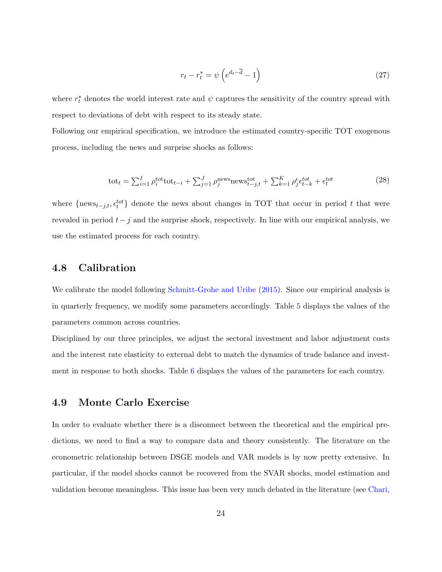$$
r_t - r_t^* = \psi \left( e^{d_t - \overline{d}} - 1 \right) \tag{27}
$$

where  $r_t^*$  denotes the world interest rate and  $\psi$  captures the sensitivity of the country spread with respect to deviations of debt with respect to its steady state.

Following our empirical specification, we introduce the estimated country-specific TOT exogenous process, including the news and surprise shocks as follows:

$$
\text{tot}_{t} = \sum_{i=1}^{I} \rho_{i}^{\text{tot}} \text{tot}_{t-i} + \sum_{j=1}^{J} \rho_{j}^{\text{news}} \text{news}_{t-j,t}^{\text{tot}} + \sum_{k=1}^{K} \rho_{j}^{\epsilon} \epsilon_{t-k}^{tot} + \epsilon_{t}^{tot}
$$
(28)

where  ${\{\text{news}_{t-j,t}, \epsilon_t^{tot}\}}$  denote the news about changes in TOT that occur in period t that were revealed in period  $t - j$  and the surprise shock, respectively. In line with our empirical analysis, we use the estimated process for each country.

# 4.8 Calibration

We calibrate the model following [Schmitt-Grohe and Uribe](#page-42-0) [\(2015\)](#page-42-0). Since our empirical analysis is in quarterly frequency, we modify some parameters accordingly. Table [5](#page-36-0) displays the values of the parameters common across countries.

Disciplined by our three principles, we adjust the sectoral investment and labor adjustment costs and the interest rate elasticity to external debt to match the dynamics of trade balance and investment in response to both shocks. Table [6](#page-36-1) displays the values of the parameters for each country.

## <span id="page-25-0"></span>4.9 Monte Carlo Exercise

In order to evaluate whether there is a disconnect between the theoretical and the empirical predictions, we need to find a way to compare data and theory consistently. The literature on the econometric relationship between DSGE models and VAR models is by now pretty extensive. In particular, if the model shocks cannot be recovered from the SVAR shocks, model estimation and validation become meaningless. This issue has been very much debated in the literature (see [Chari,](#page-40-6)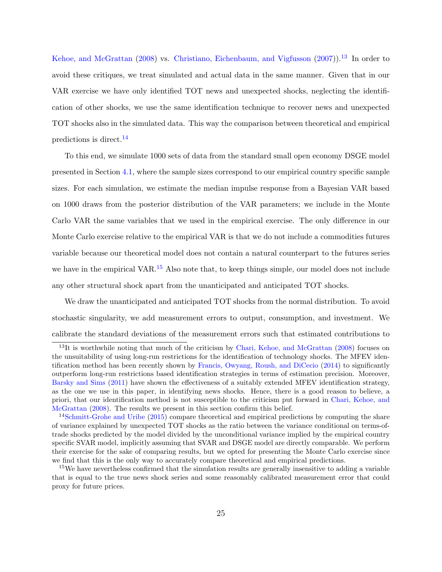[Kehoe, and McGrattan](#page-40-6) [\(2008\)](#page-40-6) vs. [Christiano, Eichenbaum, and Vigfusson](#page-40-7) [\(2007\)](#page-40-7)).<sup>[13](#page-26-0)</sup> In order to avoid these critiques, we treat simulated and actual data in the same manner. Given that in our VAR exercise we have only identified TOT news and unexpected shocks, neglecting the identification of other shocks, we use the same identification technique to recover news and unexpected TOT shocks also in the simulated data. This way the comparison between theoretical and empirical predictions is direct.[14](#page-26-1)

To this end, we simulate 1000 sets of data from the standard small open economy DSGE model presented in Section [4.1,](#page-21-0) where the sample sizes correspond to our empirical country specific sample sizes. For each simulation, we estimate the median impulse response from a Bayesian VAR based on 1000 draws from the posterior distribution of the VAR parameters; we include in the Monte Carlo VAR the same variables that we used in the empirical exercise. The only difference in our Monte Carlo exercise relative to the empirical VAR is that we do not include a commodities futures variable because our theoretical model does not contain a natural counterpart to the futures series we have in the empirical VAR.<sup>[15](#page-26-2)</sup> Also note that, to keep things simple, our model does not include any other structural shock apart from the unanticipated and anticipated TOT shocks.

We draw the unanticipated and anticipated TOT shocks from the normal distribution. To avoid stochastic singularity, we add measurement errors to output, consumption, and investment. We calibrate the standard deviations of the measurement errors such that estimated contributions to

<span id="page-26-0"></span> $13$ It is worthwhile noting that much of the criticism by [Chari, Kehoe, and McGrattan](#page-40-6) [\(2008\)](#page-40-6) focuses on the unsuitability of using long-run restrictions for the identification of technology shocks. The MFEV identification method has been recently shown by [Francis, Owyang, Roush, and DiCecio](#page-41-9) [\(2014\)](#page-41-9) to significantly outperform long-run restrictions based identification strategies in terms of estimation precision. Moreover, [Barsky and Sims](#page-40-2) [\(2011\)](#page-40-2) have shown the effectiveness of a suitably extended MFEV identification strategy, as the one we use in this paper, in identifying news shocks. Hence, there is a good reason to believe, a priori, that our identification method is not susceptible to the criticism put forward in [Chari, Kehoe, and](#page-40-6) [McGrattan](#page-40-6) [\(2008\)](#page-40-6). The results we present in this section confirm this belief.

<span id="page-26-1"></span><sup>&</sup>lt;sup>14</sup>[Schmitt-Grohe and Uribe](#page-42-0) [\(2015\)](#page-42-0) compare theoretical and empirical predictions by computing the share of variance explained by unexpected TOT shocks as the ratio between the variance conditional on terms-oftrade shocks predicted by the model divided by the unconditional variance implied by the empirical country specific SVAR model, implicitly assuming that SVAR and DSGE model are directly comparable. We perform their exercise for the sake of comparing results, but we opted for presenting the Monte Carlo exercise since we find that this is the only way to accurately compare theoretical and empirical predictions.

<span id="page-26-2"></span><sup>&</sup>lt;sup>15</sup>We have nevertheless confirmed that the simulation results are generally insensitive to adding a variable that is equal to the true news shock series and some reasonably calibrated measurement error that could proxy for future prices.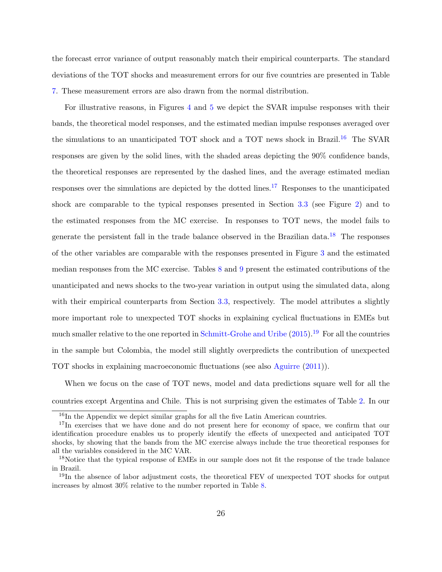the forecast error variance of output reasonably match their empirical counterparts. The standard deviations of the TOT shocks and measurement errors for our five countries are presented in Table [7.](#page-36-2) These measurement errors are also drawn from the normal distribution.

For illustrative reasons, in Figures [4](#page-38-0) and [5](#page-39-0) we depict the SVAR impulse responses with their bands, the theoretical model responses, and the estimated median impulse responses averaged over the simulations to an unanticipated TOT shock and a TOT news shock in Brazil.<sup>[16](#page-27-0)</sup> The SVAR responses are given by the solid lines, with the shaded areas depicting the 90% confidence bands, the theoretical responses are represented by the dashed lines, and the average estimated median responses over the simulations are depicted by the dotted lines.<sup>[17](#page-27-1)</sup> Responses to the unanticipated shock are comparable to the typical responses presented in Section [3.3](#page-12-0) (see Figure [2\)](#page-31-0) and to the estimated responses from the MC exercise. In responses to TOT news, the model fails to generate the persistent fall in the trade balance observed in the Brazilian data.<sup>[18](#page-27-2)</sup> The responses of the other variables are comparable with the responses presented in Figure [3](#page-32-0) and the estimated median responses from the MC exercise. Tables [8](#page-37-0) and [9](#page-37-1) present the estimated contributions of the unanticipated and news shocks to the two-year variation in output using the simulated data, along with their empirical counterparts from Section [3.3,](#page-12-0) respectively. The model attributes a slightly more important role to unexpected TOT shocks in explaining cyclical fluctuations in EMEs but much smaller relative to the one reported in [Schmitt-Grohe and Uribe](#page-42-0)  $(2015)$ .<sup>[19](#page-27-3)</sup> For all the countries in the sample but Colombia, the model still slightly overpredicts the contribution of unexpected TOT shocks in explaining macroeconomic fluctuations (see also [Aguirre](#page-40-8) [\(2011\)](#page-40-8)).

When we focus on the case of TOT news, model and data predictions square well for all the countries except Argentina and Chile. This is not surprising given the estimates of Table [2.](#page-33-1) In our

<span id="page-27-1"></span><span id="page-27-0"></span><sup>&</sup>lt;sup>16</sup>In the Appendix we depict similar graphs for all the five Latin American countries.

<sup>&</sup>lt;sup>17</sup>In exercises that we have done and do not present here for economy of space, we confirm that our identification procedure enables us to properly identify the effects of unexpected and anticipated TOT shocks, by showing that the bands from the MC exercise always include the true theoretical responses for all the variables considered in the MC VAR.

<span id="page-27-2"></span><sup>&</sup>lt;sup>18</sup>Notice that the typical response of EMEs in our sample does not fit the response of the trade balance in Brazil.

<span id="page-27-3"></span><sup>&</sup>lt;sup>19</sup>In the absence of labor adjustment costs, the theoretical FEV of unexpected TOT shocks for output increases by almost 30% relative to the number reported in Table [8.](#page-37-0)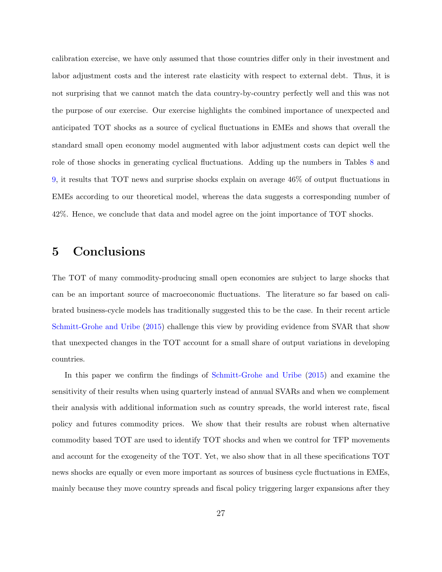calibration exercise, we have only assumed that those countries differ only in their investment and labor adjustment costs and the interest rate elasticity with respect to external debt. Thus, it is not surprising that we cannot match the data country-by-country perfectly well and this was not the purpose of our exercise. Our exercise highlights the combined importance of unexpected and anticipated TOT shocks as a source of cyclical fluctuations in EMEs and shows that overall the standard small open economy model augmented with labor adjustment costs can depict well the role of those shocks in generating cyclical fluctuations. Adding up the numbers in Tables [8](#page-37-0) and [9,](#page-37-1) it results that TOT news and surprise shocks explain on average 46% of output fluctuations in EMEs according to our theoretical model, whereas the data suggests a corresponding number of 42%. Hence, we conclude that data and model agree on the joint importance of TOT shocks.

# <span id="page-28-0"></span>5 Conclusions

The TOT of many commodity-producing small open economies are subject to large shocks that can be an important source of macroeconomic fluctuations. The literature so far based on calibrated business-cycle models has traditionally suggested this to be the case. In their recent article [Schmitt-Grohe and Uribe](#page-42-0) [\(2015\)](#page-42-0) challenge this view by providing evidence from SVAR that show that unexpected changes in the TOT account for a small share of output variations in developing countries.

In this paper we confirm the findings of [Schmitt-Grohe and Uribe](#page-42-0) [\(2015\)](#page-42-0) and examine the sensitivity of their results when using quarterly instead of annual SVARs and when we complement their analysis with additional information such as country spreads, the world interest rate, fiscal policy and futures commodity prices. We show that their results are robust when alternative commodity based TOT are used to identify TOT shocks and when we control for TFP movements and account for the exogeneity of the TOT. Yet, we also show that in all these specifications TOT news shocks are equally or even more important as sources of business cycle fluctuations in EMEs, mainly because they move country spreads and fiscal policy triggering larger expansions after they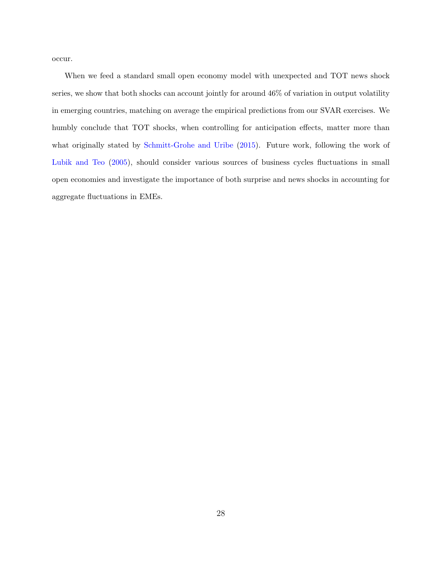occur.

When we feed a standard small open economy model with unexpected and TOT news shock series, we show that both shocks can account jointly for around 46% of variation in output volatility in emerging countries, matching on average the empirical predictions from our SVAR exercises. We humbly conclude that TOT shocks, when controlling for anticipation effects, matter more than what originally stated by [Schmitt-Grohe and Uribe](#page-42-0) [\(2015\)](#page-42-0). Future work, following the work of [Lubik and Teo](#page-41-8) [\(2005\)](#page-41-8), should consider various sources of business cycles fluctuations in small open economies and investigate the importance of both surprise and news shocks in accounting for aggregate fluctuations in EMEs.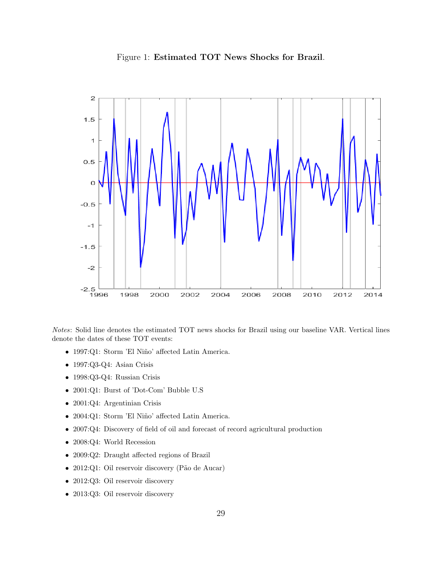

<span id="page-30-0"></span>

Notes: Solid line denotes the estimated TOT news shocks for Brazil using our baseline VAR. Vertical lines denote the dates of these TOT events:

- $\bullet\,$  1997:Q1: Storm 'El Niño' affected Latin America.
- 1997:Q3-Q4: Asian Crisis
- 1998:Q3-Q4: Russian Crisis
- 2001:Q1: Burst of 'Dot-Com' Bubble U.S
- 2001:Q4: Argentinian Crisis
- $\bullet\,$  2004:Q1: Storm 'El Niño' affected Latin America.
- 2007:Q4: Discovery of field of oil and forecast of record agricultural production
- 2008:Q4: World Recession
- 2009:Q2: Draught affected regions of Brazil
- 2012:Q1: Oil reservoir discovery (Pão de Aucar)
- 2012:Q3: Oil reservoir discovery
- 2013:Q3: Oil reservoir discovery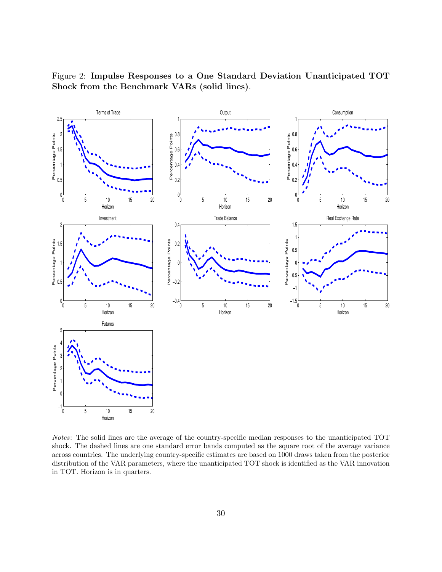

<span id="page-31-0"></span>Figure 2: Impulse Responses to a One Standard Deviation Unanticipated TOT Shock from the Benchmark VARs (solid lines).

Notes: The solid lines are the average of the country-specific median responses to the unanticipated TOT shock. The dashed lines are one standard error bands computed as the square root of the average variance across countries. The underlying country-specific estimates are based on 1000 draws taken from the posterior distribution of the VAR parameters, where the unanticipated TOT shock is identified as the VAR innovation in TOT. Horizon is in quarters.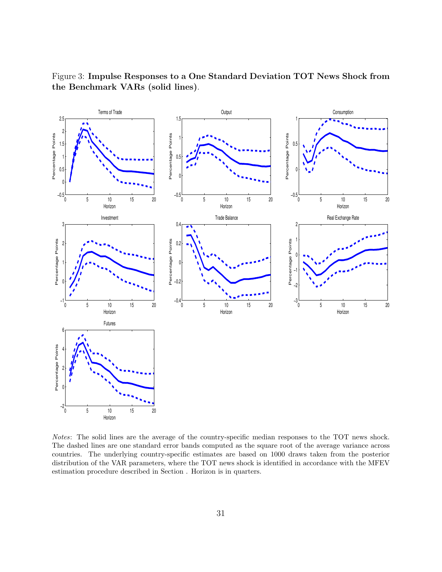

<span id="page-32-0"></span>Figure 3: Impulse Responses to a One Standard Deviation TOT News Shock from the Benchmark VARs (solid lines).

Notes: The solid lines are the average of the country-specific median responses to the TOT news shock. The dashed lines are one standard error bands computed as the square root of the average variance across countries. The underlying country-specific estimates are based on 1000 draws taken from the posterior distribution of the VAR parameters, where the TOT news shock is identified in accordance with the MFEV estimation procedure described in Section . Horizon is in quarters.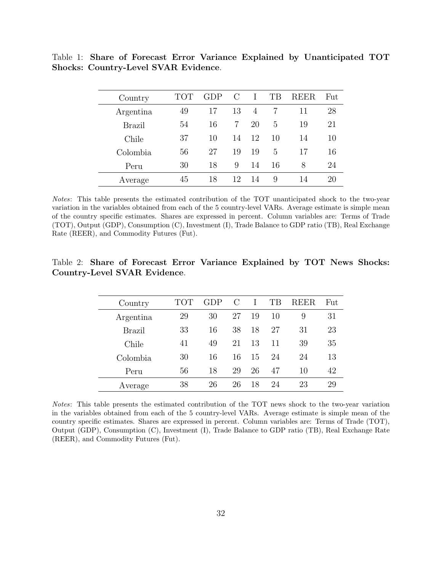| Country   | ТОТ | GDP) | С  |    | TВ | REER | Fut |
|-----------|-----|------|----|----|----|------|-----|
| Argentina | 49  | 17   | 13 | 4  |    | 11   | 28  |
| Brazil    | 54  | 16   | 7  | 20 | 5  | 19   | 21  |
| Chile     | 37  | 10   | 14 | 12 | 10 | 14   | 10  |
| Colombia  | 56  | 27   | 19 | 19 | 5  | 17   | 16  |
| Peru      | 30  | 18   | 9  | 14 | 16 | 8    | 24  |
| Average   | 45  | 18   | 12 | 14 | 9  | 14   | 20  |

<span id="page-33-0"></span>Table 1: Share of Forecast Error Variance Explained by Unanticipated TOT Shocks: Country-Level SVAR Evidence.

Notes: This table presents the estimated contribution of the TOT unanticipated shock to the two-year variation in the variables obtained from each of the 5 country-level VARs. Average estimate is simple mean of the country specific estimates. Shares are expressed in percent. Column variables are: Terms of Trade (TOT), Output (GDP), Consumption (C), Investment (I), Trade Balance to GDP ratio (TB), Real Exchange Rate (REER), and Commodity Futures (Fut).

<span id="page-33-1"></span>

|  |                              |  | Table 2: Share of Forecast Error Variance Explained by TOT News Shocks: |  |  |
|--|------------------------------|--|-------------------------------------------------------------------------|--|--|
|  | Country-Level SVAR Evidence. |  |                                                                         |  |  |

| Country       | TOT | GDP) | C  |    | TВ | REER | Fut |
|---------------|-----|------|----|----|----|------|-----|
| Argentina     | 29  | 30   | 27 | 19 | 10 | 9    | 31  |
| <b>Brazil</b> | 33  | 16   | 38 | 18 | 27 | 31   | 23  |
| Chile         | 41  | 49   | 21 | 13 | 11 | 39   | 35  |
| Colombia      | 30  | 16   | 16 | 15 | 24 | 24   | 13  |
| Peru          | 56  | 18   | 29 | 26 | 47 | 10   | 42  |
| Average       | 38  | 26   | 26 | 18 | 24 | 23   | 29  |

Notes: This table presents the estimated contribution of the TOT news shock to the two-year variation in the variables obtained from each of the 5 country-level VARs. Average estimate is simple mean of the country specific estimates. Shares are expressed in percent. Column variables are: Terms of Trade (TOT), Output (GDP), Consumption (C), Investment (I), Trade Balance to GDP ratio (TB), Real Exchange Rate (REER), and Commodity Futures (Fut).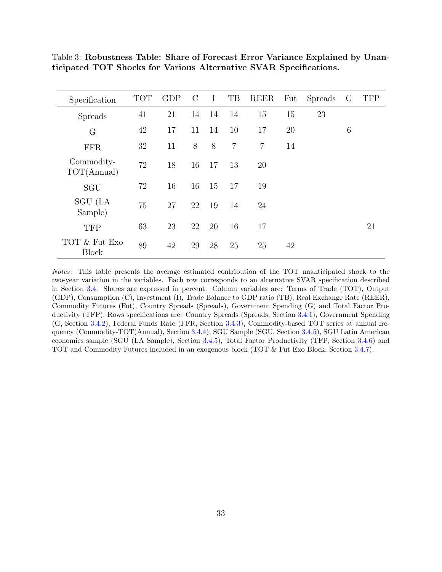| Specification                 | <b>TOT</b> | <b>GDP</b> | $\mathcal{C}$ | $\bf{I}$ | TB             | <b>REER</b>    | Fut | <b>Spreads</b> | G | <b>TFP</b> |
|-------------------------------|------------|------------|---------------|----------|----------------|----------------|-----|----------------|---|------------|
| <b>Spreads</b>                | 41         | 21         | 14            | 14       | 14             | 15             | 15  | 23             |   |            |
| G                             | 42         | 17         | 11            | 14       | 10             | 17             | 20  |                | 6 |            |
| <b>FFR</b>                    | 32         | 11         | 8             | 8        | $\overline{7}$ | $\overline{7}$ | 14  |                |   |            |
| Commodity-<br>TOT(Annual)     | 72         | 18         | 16            | 17       | 13             | 20             |     |                |   |            |
| SGU                           | 72         | 16         | 16            | 15       | 17             | 19             |     |                |   |            |
| SGU (LA<br>Sample)            | 75         | 27         | 22            | 19       | 14             | 24             |     |                |   |            |
| <b>TFP</b>                    | 63         | 23         | 22            | 20       | 16             | 17             |     |                |   | 21         |
| TOT & Fut Exo<br><b>Block</b> | 89         | 42         | 29            | 28       | 25             | 25             | 42  |                |   |            |

<span id="page-34-0"></span>Table 3: Robustness Table: Share of Forecast Error Variance Explained by Unanticipated TOT Shocks for Various Alternative SVAR Specifications.

Notes: This table presents the average estimated contribution of the TOT unanticipated shock to the two-year variation in the variables. Each row corresponds to an alternative SVAR specification described in Section [3.4.](#page-14-0) Shares are expressed in percent. Column variables are: Terms of Trade (TOT), Output (GDP), Consumption (C), Investment (I), Trade Balance to GDP ratio (TB), Real Exchange Rate (REER), Commodity Futures (Fut), Country Spreads (Spreads), Government Spending (G) and Total Factor Productivity (TFP). Rows specifications are: Country Spreads (Spreads, Section [3.4.1\)](#page-14-1), Government Spending (G, Section [3.4.2\)](#page-15-1), Federal Funds Rate (FFR, Section [3.4.3\)](#page-15-2), Commodity-based TOT series at annual frequency (Commodity-TOT(Annual), Section [3.4.4\)](#page-16-0), SGU Sample (SGU, Section [3.4.5\)](#page-17-1), SGU Latin American economies sample (SGU (LA Sample), Section [3.4.5\)](#page-17-1), Total Factor Productivity (TFP, Section [3.4.6\)](#page-19-0) and TOT and Commodity Futures included in an exogenous block (TOT & Fut Exo Block, Section [3.4.7\)](#page-19-1).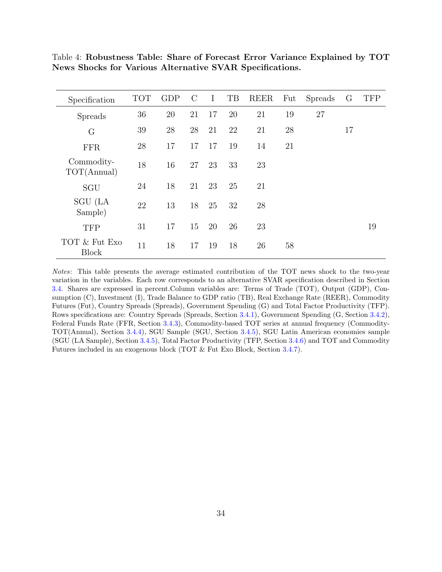| Specification                 | <b>TOT</b> | <b>GDP</b> | $\mathcal{C}$ | $\bf{I}$ | TB | <b>REER</b> | Fut | <b>Spreads</b> | G  | <b>TFP</b> |
|-------------------------------|------------|------------|---------------|----------|----|-------------|-----|----------------|----|------------|
| <b>Spreads</b>                | 36         | 20         | 21            | 17       | 20 | 21          | 19  | 27             |    |            |
| $\rm G$                       | 39         | 28         | 28            | 21       | 22 | 21          | 28  |                | 17 |            |
| <b>FFR</b>                    | 28         | 17         | 17            | 17       | 19 | 14          | 21  |                |    |            |
| Commodity-<br>TOT(Annual)     | 18         | 16         | 27            | 23       | 33 | 23          |     |                |    |            |
| SGU                           | 24         | 18         | 21            | 23       | 25 | 21          |     |                |    |            |
| SGU (LA<br>Sample)            | 22         | 13         | 18            | 25       | 32 | 28          |     |                |    |            |
| <b>TFP</b>                    | 31         | 17         | 15            | 20       | 26 | 23          |     |                |    | 19         |
| TOT & Fut Exo<br><b>Block</b> | 11         | 18         | 17            | 19       | 18 | 26          | 58  |                |    |            |

<span id="page-35-0"></span>Table 4: Robustness Table: Share of Forecast Error Variance Explained by TOT News Shocks for Various Alternative SVAR Specifications.

Notes: This table presents the average estimated contribution of the TOT news shock to the two-year variation in the variables. Each row corresponds to an alternative SVAR specification described in Section [3.4.](#page-14-0) Shares are expressed in percent.Column variables are: Terms of Trade (TOT), Output (GDP), Consumption (C), Investment (I), Trade Balance to GDP ratio (TB), Real Exchange Rate (REER), Commodity Futures (Fut), Country Spreads (Spreads), Government Spending (G) and Total Factor Productivity (TFP). Rows specifications are: Country Spreads (Spreads, Section [3.4.1\)](#page-14-1), Government Spending (G, Section [3.4.2\)](#page-15-1), Federal Funds Rate (FFR, Section [3.4.3\)](#page-15-2), Commodity-based TOT series at annual frequency (Commodity-TOT(Annual), Section [3.4.4\)](#page-16-0), SGU Sample (SGU, Section [3.4.5\)](#page-17-1), SGU Latin American economies sample (SGU (LA Sample), Section [3.4.5\)](#page-17-1), Total Factor Productivity (TFP, Section [3.4.6\)](#page-19-0) and TOT and Commodity Futures included in an exogenous block (TOT & Fut Exo Block, Section [3.4.7\)](#page-19-1).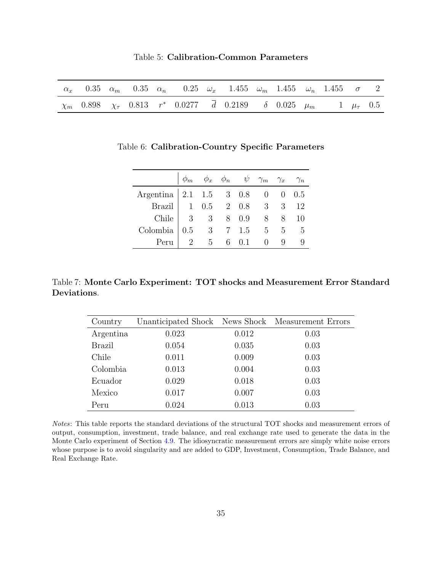|  |  |  | Table 5: Calibration-Common Parameters |
|--|--|--|----------------------------------------|
|--|--|--|----------------------------------------|

<span id="page-36-1"></span><span id="page-36-0"></span>

|  |  | $\alpha_x$ 0.35 $\alpha_m$ 0.35 $\alpha_n$ 0.25 $\omega_x$ 1.455 $\omega_m$ 1.455 $\omega_n$ 1.455 $\sigma$ 2 |  |  |  |  |
|--|--|---------------------------------------------------------------------------------------------------------------|--|--|--|--|
|  |  | $\chi_m$ 0.898 $\chi_{\tau}$ 0.813 $r^*$ 0.0277 $\bar{d}$ 0.2189 $\delta$ 0.025 $\mu_m$ 1 $\mu_{\tau}$ 0.5    |  |  |  |  |

| Table 6: Calibration-Country Specific Parameters |  |  |
|--------------------------------------------------|--|--|
|                                                  |  |  |

|                                                                                         |  | $\phi_m$ $\phi_x$ $\phi_n$ $\psi$ $\gamma_m$ $\gamma_x$ $\gamma_n$ |                 |    |
|-----------------------------------------------------------------------------------------|--|--------------------------------------------------------------------|-----------------|----|
| Argentina   $2.1 \quad 1.5 \quad 3 \quad 0.8 \quad 0 \quad 0 \quad 0.5$                 |  |                                                                    |                 |    |
| Brazil 1 0.5 2 0.8 3 3 12                                                               |  |                                                                    |                 |    |
| Chile 3 3 8 0.9                                                                         |  |                                                                    | 8 8             | 10 |
| Colombia $\begin{array}{ c c c c c } \hline 0.5 & 3 & 7 & 1.5 & 5 \ \hline \end{array}$ |  |                                                                    | $5\overline{)}$ | -5 |
| Peru                                                                                    |  | $2 \t 5 \t 6 \t 0.1 \t 0$                                          | -9              |    |

<span id="page-36-2"></span>Table 7: Monte Carlo Experiment: TOT shocks and Measurement Error Standard Deviations.

| Country       | Unanticipated Shock News Shock Measurement Errors |       |      |
|---------------|---------------------------------------------------|-------|------|
| Argentina     | 0.023                                             | 0.012 | 0.03 |
| <b>Brazil</b> | 0.054                                             | 0.035 | 0.03 |
| Chile         | 0.011                                             | 0.009 | 0.03 |
| Colombia      | 0.013                                             | 0.004 | 0.03 |
| Ecuador       | 0.029                                             | 0.018 | 0.03 |
| Mexico        | 0.017                                             | 0.007 | 0.03 |
| Peru          | 0.024                                             | 0.013 | 0.03 |

Notes: This table reports the standard deviations of the structural TOT shocks and measurement errors of output, consumption, investment, trade balance, and real exchange rate used to generate the data in the Monte Carlo experiment of Section [4.9.](#page-25-0) The idiosyncratic measurement errors are simply white noise errors whose purpose is to avoid singularity and are added to GDP, Investment, Consumption, Trade Balance, and Real Exchange Rate.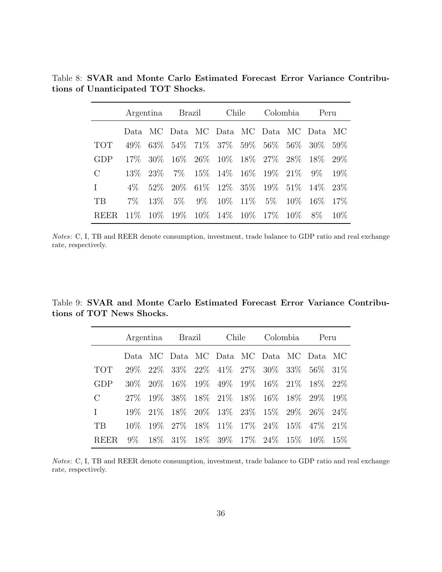<span id="page-37-0"></span>Table 8: SVAR and Monte Carlo Estimated Forecast Error Variance Contributions of Unanticipated TOT Shocks.

|             |        |           | Argentina Brazil                          | Chile<br>Colombia                  |  | Peru |                                         |        |
|-------------|--------|-----------|-------------------------------------------|------------------------------------|--|------|-----------------------------------------|--------|
|             |        |           |                                           |                                    |  |      | Data MC Data MC Data MC Data MC Data MC |        |
| TOT         | 49\%   |           | $63\%$ 54\% 71\% 37\% 59\% 56\% 56\% 30\% |                                    |  |      |                                         | .59%   |
| GDP         |        | 17\% 30\% |                                           | 16\% 26\% 10\% 18\% 27\% 28\% 18\% |  |      |                                         | 29\%   |
| $\rm C$     |        | 13\% 23\% |                                           | $7\%$ 15\% 14\% 16\% 19\% 21\% 9\% |  |      |                                         | 19\%   |
| L           | $4\%$  |           | 52\% 20\% 61\% 12\% 35\% 19\% 51\% 14\%   |                                    |  |      |                                         | 23\%   |
| TВ          | $7\%$  | $13\%$    |                                           | 5\% 9\% 10\% 11\% 5\% 10\% 16\%    |  |      |                                         | $17\%$ |
| <b>REER</b> | $11\%$ |           | $10\%$ 19\% 10\% 14\% 10\% 17\% 10\%      |                                    |  |      | 8%                                      | $10\%$ |

Notes: C, I, TB and REER denote consumption, investment, trade balance to GDP ratio and real exchange rate, respectively.

<span id="page-37-1"></span>Table 9: SVAR and Monte Carlo Estimated Forecast Error Variance Contributions of TOT News Shocks.

|             | Argentina |             |        | Brazil | Chile |                                             | Colombia<br>Peru |          |      |
|-------------|-----------|-------------|--------|--------|-------|---------------------------------------------|------------------|----------|------|
|             | Data.     |             |        |        |       | MC Data MC Data MC Data MC Data MC          |                  |          |      |
| <b>TOT</b>  | 29\%      |             |        |        |       | $22\%$ 33\% $22\%$ 41\% 27\% 30\% 33\%      |                  | 56%      | 31%  |
| <b>GDP</b>  |           | $30\%$ 20\% |        |        |       | 16\% 19\% 49\% 19\% 16\% 21\% 18\%          |                  |          | 22\% |
| $\rm C$     | $27\%$    | $19\%$      |        |        |       | 38\% 18\% 21\% 18\% 16\% 18\% 29\% 19\%     |                  |          |      |
| L           | $19\%$    | 21\%        |        |        |       | 18\% 20\% 13\% 23\% 15\% 29\% 26\% 24\%     |                  |          |      |
| TB          | $10\%$    | 19%         | $27\%$ |        |       | 18\% 11\% 17\% 24\%                         | $15\%$           | 47\%21\% |      |
| <b>REER</b> |           |             |        |        |       | 9\% 18\% 31\% 18\% 39\% 17\% 24\% 15\% 10\% |                  |          | 15%  |

Notes: C, I, TB and REER denote consumption, investment, trade balance to GDP ratio and real exchange rate, respectively.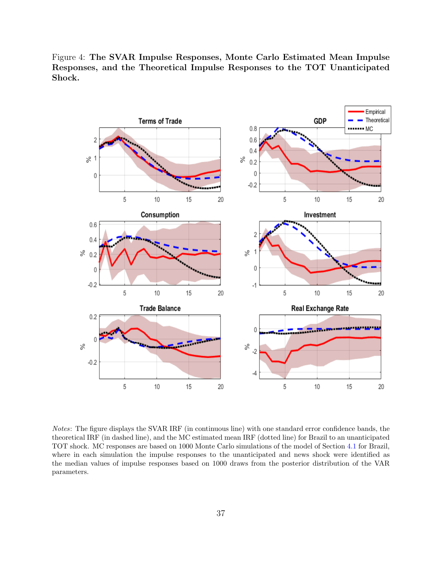<span id="page-38-0"></span>Figure 4: The SVAR Impulse Responses, Monte Carlo Estimated Mean Impulse Responses, and the Theoretical Impulse Responses to the TOT Unanticipated Shock.



Notes: The figure displays the SVAR IRF (in continuous line) with one standard error confidence bands, the theoretical IRF (in dashed line), and the MC estimated mean IRF (dotted line) for Brazil to an unanticipated TOT shock. MC responses are based on 1000 Monte Carlo simulations of the model of Section [4.1](#page-21-0) for Brazil, where in each simulation the impulse responses to the unanticipated and news shock were identified as the median values of impulse responses based on 1000 draws from the posterior distribution of the VAR parameters.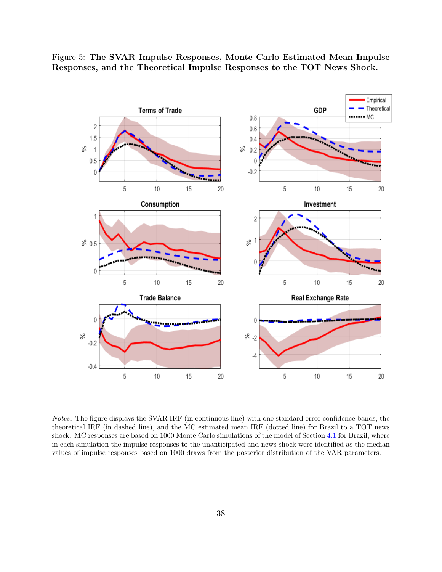<span id="page-39-0"></span>Figure 5: The SVAR Impulse Responses, Monte Carlo Estimated Mean Impulse Responses, and the Theoretical Impulse Responses to the TOT News Shock.



Notes: The figure displays the SVAR IRF (in continuous line) with one standard error confidence bands, the theoretical IRF (in dashed line), and the MC estimated mean IRF (dotted line) for Brazil to a TOT news shock. MC responses are based on 1000 Monte Carlo simulations of the model of Section [4.1](#page-21-0) for Brazil, where in each simulation the impulse responses to the unanticipated and news shock were identified as the median values of impulse responses based on 1000 draws from the posterior distribution of the VAR parameters.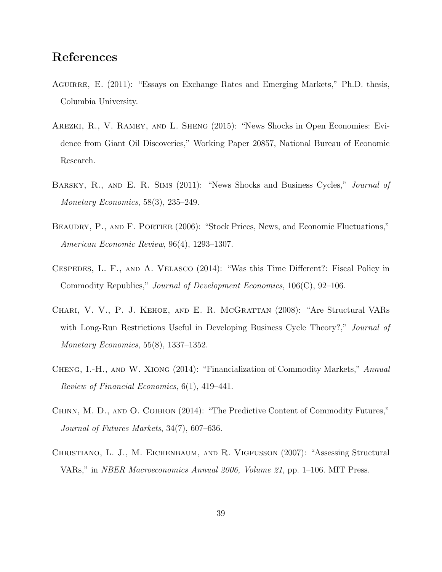# References

- <span id="page-40-8"></span>AGUIRRE, E. (2011): "Essays on Exchange Rates and Emerging Markets," Ph.D. thesis, Columbia University.
- <span id="page-40-3"></span>Arezki, R., V. Ramey, and L. Sheng (2015): "News Shocks in Open Economies: Evidence from Giant Oil Discoveries," Working Paper 20857, National Bureau of Economic Research.
- <span id="page-40-2"></span>BARSKY, R., AND E. R. SIMS (2011): "News Shocks and Business Cycles," *Journal of* Monetary Economics, 58(3), 235–249.
- <span id="page-40-1"></span>BEAUDRY, P., AND F. PORTIER (2006): "Stock Prices, News, and Economic Fluctuations," American Economic Review, 96(4), 1293–1307.
- <span id="page-40-4"></span>Cespedes, L. F., and A. Velasco (2014): "Was this Time Different?: Fiscal Policy in Commodity Republics," Journal of Development Economics, 106(C), 92–106.
- <span id="page-40-6"></span>Chari, V. V., P. J. Kehoe, and E. R. McGrattan (2008): "Are Structural VARs with Long-Run Restrictions Useful in Developing Business Cycle Theory?," Journal of Monetary Economics, 55(8), 1337–1352.
- <span id="page-40-5"></span>Cheng, I.-H., and W. Xiong (2014): "Financialization of Commodity Markets," Annual Review of Financial Economics, 6(1), 419–441.
- <span id="page-40-0"></span>Chinn, M. D., and O. Coibion (2014): "The Predictive Content of Commodity Futures," Journal of Futures Markets, 34(7), 607–636.
- <span id="page-40-7"></span>Christiano, L. J., M. Eichenbaum, and R. Vigfusson (2007): "Assessing Structural VARs," in NBER Macroeconomics Annual 2006, Volume 21, pp. 1–106. MIT Press.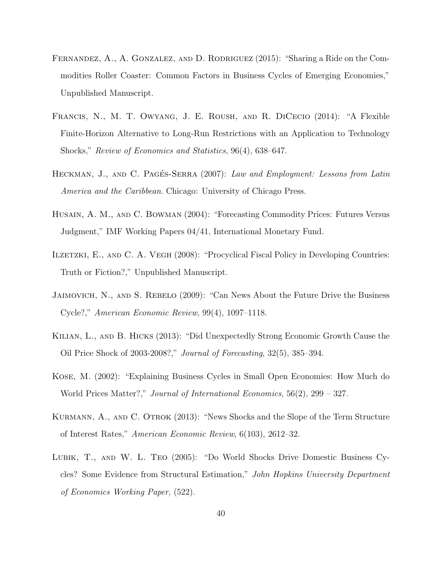- <span id="page-41-4"></span>FERNANDEZ, A., A. GONZALEZ, AND D. RODRIGUEZ (2015): "Sharing a Ride on the Commodities Roller Coaster: Common Factors in Business Cycles of Emerging Economies," Unpublished Manuscript.
- <span id="page-41-9"></span>Francis, N., M. T. Owyang, J. E. Roush, and R. DiCecio (2014): "A Flexible Finite-Horizon Alternative to Long-Run Restrictions with an Application to Technology Shocks," Review of Economics and Statistics, 96(4), 638–647.
- <span id="page-41-5"></span>HECKMAN, J., AND C. PAGÉS-SERRA (2007): Law and Employment: Lessons from Latin America and the Caribbean. Chicago: University of Chicago Press.
- <span id="page-41-3"></span>Husain, A. M., and C. Bowman (2004): "Forecasting Commodity Prices: Futures Versus Judgment," IMF Working Papers 04/41, International Monetary Fund.
- <span id="page-41-7"></span>ILZETZKI, E., AND C. A. VEGH (2008): "Procyclical Fiscal Policy in Developing Countries: Truth or Fiction?," Unpublished Manuscript.
- <span id="page-41-2"></span>Jaimovich, N., and S. Rebelo (2009): "Can News About the Future Drive the Business Cycle?," American Economic Review, 99(4), 1097–1118.
- <span id="page-41-1"></span>Kilian, L., and B. Hicks (2013): "Did Unexpectedly Strong Economic Growth Cause the Oil Price Shock of 2003-2008?," Journal of Forecasting, 32(5), 385–394.
- <span id="page-41-0"></span>Kose, M. (2002): "Explaining Business Cycles in Small Open Economies: How Much do World Prices Matter?," Journal of International Economics, 56(2), 299 – 327.
- <span id="page-41-6"></span>KURMANN, A., AND C. OTROK (2013): "News Shocks and the Slope of the Term Structure of Interest Rates," American Economic Review, 6(103), 2612–32.
- <span id="page-41-8"></span>Lubik, T., and W. L. Teo (2005): "Do World Shocks Drive Domestic Business Cycles? Some Evidence from Structural Estimation," John Hopkins University Department of Economics Working Paper, (522).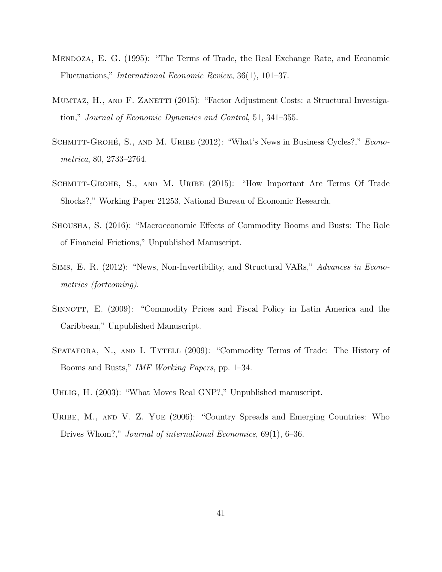- <span id="page-42-1"></span>Mendoza, E. G. (1995): "The Terms of Trade, the Real Exchange Rate, and Economic Fluctuations," International Economic Review, 36(1), 101–37.
- <span id="page-42-9"></span>MUMTAZ, H., AND F. ZANETTI (2015): "Factor Adjustment Costs: a Structural Investigation," Journal of Economic Dynamics and Control, 51, 341–355.
- <span id="page-42-2"></span>SCHMITT-GROHÉ, S., AND M. URIBE (2012): "What's News in Business Cycles?," Econometrica, 80, 2733–2764.
- <span id="page-42-0"></span>SCHMITT-GROHE, S., AND M. URIBE (2015): "How Important Are Terms Of Trade Shocks?," Working Paper 21253, National Bureau of Economic Research.
- <span id="page-42-4"></span>Shousha, S. (2016): "Macroeconomic Effects of Commodity Booms and Busts: The Role of Financial Frictions," Unpublished Manuscript.
- <span id="page-42-5"></span>Sims, E. R. (2012): "News, Non-Invertibility, and Structural VARs," Advances in Econometrics (fortcoming).
- <span id="page-42-7"></span>SINNOTT, E. (2009): "Commodity Prices and Fiscal Policy in Latin America and the Caribbean," Unpublished Manuscript.
- <span id="page-42-8"></span>SPATAFORA, N., AND I. TYTELL (2009): "Commodity Terms of Trade: The History of Booms and Busts," IMF Working Papers, pp. 1–34.
- <span id="page-42-3"></span>Uhlig, H. (2003): "What Moves Real GNP?," Unpublished manuscript.
- <span id="page-42-6"></span>URIBE, M., AND V. Z. YUE (2006): "Country Spreads and Emerging Countries: Who Drives Whom?," Journal of international Economics, 69(1), 6–36.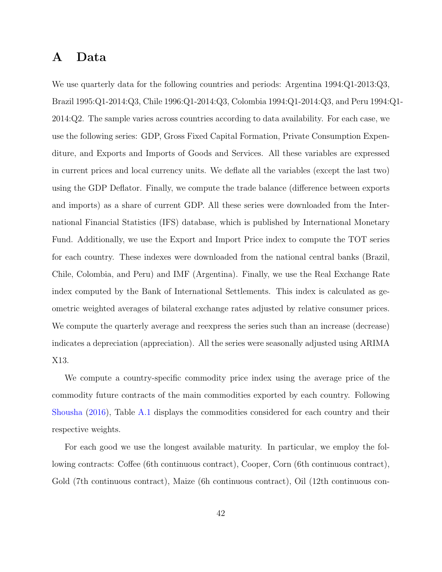# <span id="page-43-0"></span>A Data

We use quarterly data for the following countries and periods: Argentina 1994:Q1-2013:Q3, Brazil 1995:Q1-2014:Q3, Chile 1996:Q1-2014:Q3, Colombia 1994:Q1-2014:Q3, and Peru 1994:Q1- 2014:Q2. The sample varies across countries according to data availability. For each case, we use the following series: GDP, Gross Fixed Capital Formation, Private Consumption Expenditure, and Exports and Imports of Goods and Services. All these variables are expressed in current prices and local currency units. We deflate all the variables (except the last two) using the GDP Deflator. Finally, we compute the trade balance (difference between exports and imports) as a share of current GDP. All these series were downloaded from the International Financial Statistics (IFS) database, which is published by International Monetary Fund. Additionally, we use the Export and Import Price index to compute the TOT series for each country. These indexes were downloaded from the national central banks (Brazil, Chile, Colombia, and Peru) and IMF (Argentina). Finally, we use the Real Exchange Rate index computed by the Bank of International Settlements. This index is calculated as geometric weighted averages of bilateral exchange rates adjusted by relative consumer prices. We compute the quarterly average and reexpress the series such than an increase (decrease) indicates a depreciation (appreciation). All the series were seasonally adjusted using ARIMA X13.

We compute a country-specific commodity price index using the average price of the commodity future contracts of the main commodities exported by each country. Following [Shousha](#page-42-4) [\(2016\)](#page-42-4), Table [A.1](#page-44-0) displays the commodities considered for each country and their respective weights.

For each good we use the longest available maturity. In particular, we employ the following contracts: Coffee (6th continuous contract), Cooper, Corn (6th continuous contract), Gold (7th continuous contract), Maize (6h continuous contract), Oil (12th continuous con-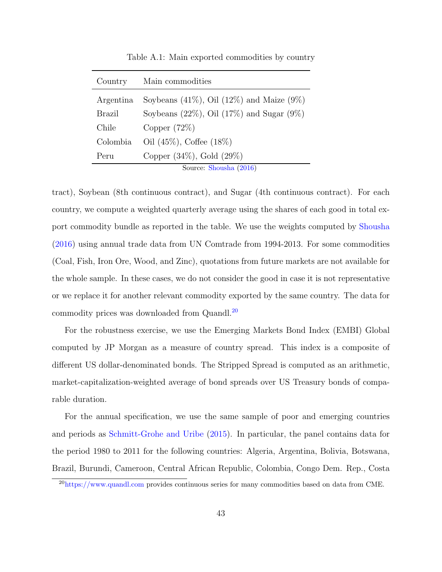|  |  |  |  | Table A.1: Main exported commodities by country |  |  |
|--|--|--|--|-------------------------------------------------|--|--|
|--|--|--|--|-------------------------------------------------|--|--|

<span id="page-44-0"></span>

| Country   | Main commodities                                   |
|-----------|----------------------------------------------------|
| Argentina | Soybeans $(41\%)$ , Oil $(12\%)$ and Maize $(9\%)$ |
| Brazil    | Soybeans $(22\%)$ , Oil $(17\%)$ and Sugar $(9\%)$ |
| Chile     | Copper $(72\%)$                                    |
| Colombia  | Oil $(45\%)$ , Coffee $(18\%)$                     |
| Peru      | Copper $(34\%)$ , Gold $(29\%)$                    |
|           | Source: Shousha (2016)                             |

tract), Soybean (8th continuous contract), and Sugar (4th continuous contract). For each country, we compute a weighted quarterly average using the shares of each good in total export commodity bundle as reported in the table. We use the weights computed by [Shousha](#page-42-4) [\(2016\)](#page-42-4) using annual trade data from UN Comtrade from 1994-2013. For some commodities (Coal, Fish, Iron Ore, Wood, and Zinc), quotations from future markets are not available for the whole sample. In these cases, we do not consider the good in case it is not representative or we replace it for another relevant commodity exported by the same country. The data for commodity prices was downloaded from Quandl.[20](#page-44-1)

For the robustness exercise, we use the Emerging Markets Bond Index (EMBI) Global computed by JP Morgan as a measure of country spread. This index is a composite of different US dollar-denominated bonds. The Stripped Spread is computed as an arithmetic, market-capitalization-weighted average of bond spreads over US Treasury bonds of comparable duration.

For the annual specification, we use the same sample of poor and emerging countries and periods as [Schmitt-Grohe and Uribe](#page-42-0) [\(2015\)](#page-42-0). In particular, the panel contains data for the period 1980 to 2011 for the following countries: Algeria, Argentina, Bolivia, Botswana, Brazil, Burundi, Cameroon, Central African Republic, Colombia, Congo Dem. Rep., Costa

<span id="page-44-1"></span><sup>&</sup>lt;sup>20</sup><https://www.quandl.com> provides continuous series for many commodities based on data from CME.